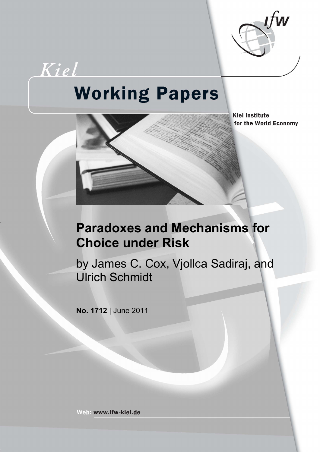

# Kiel **Working Papers**



**Kiel Institute** for the World Economy

# **Paradoxes and Mechanisms for Choice under Risk**

by James C. Cox, Vjollca Sadiraj, and Ulrich Schmidt

**No. 1712** | June 2011

Web: www.ifw-kiel.de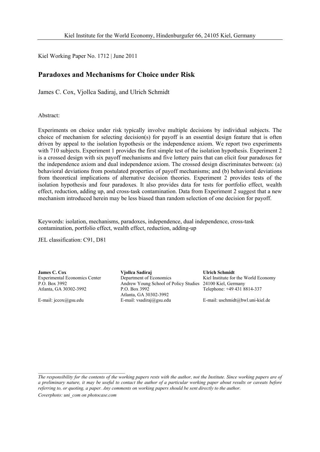Kiel Working Paper No. 1712 | June 2011

# **Paradoxes and Mechanisms for Choice under Risk**

James C. Cox, Vjollca Sadiraj, and Ulrich Schmidt

Abstract:

Experiments on choice under risk typically involve multiple decisions by individual subjects. The choice of mechanism for selecting decision(s) for payoff is an essential design feature that is often driven by appeal to the isolation hypothesis or the independence axiom. We report two experiments with 710 subjects. Experiment 1 provides the first simple test of the isolation hypothesis. Experiment 2 is a crossed design with six payoff mechanisms and five lottery pairs that can elicit four paradoxes for the independence axiom and dual independence axiom. The crossed design discriminates between: (a) behavioral deviations from postulated properties of payoff mechanisms; and (b) behavioral deviations from theoretical implications of alternative decision theories. Experiment 2 provides tests of the isolation hypothesis and four paradoxes. It also provides data for tests for portfolio effect, wealth effect, reduction, adding up, and cross-task contamination. Data from Experiment 2 suggest that a new mechanism introduced herein may be less biased than random selection of one decision for payoff.

Keywords: isolation, mechanisms, paradoxes, independence, dual independence, cross-task contamination, portfolio effect, wealth effect, reduction, adding-up

JEL classification: C91, D81

**James C. Cox**  Experimental Economics Center P.O. Box 3992 Atlanta, GA 30302-3992

E-mail: jccox@gsu.edu

**Vjollca Sadiraj**  Department of Economics Andrew Young School of Policy Studies P.O. Box 3992 Atlanta, GA 30302-3992 E-mail: vsadiraj@gsu.edu

**Ulrich Schmidt**  Kiel Institute for the World Economy 24100 Kiel, Germany Telephone: +49 431 8814-337

E-mail: uschmidt@bwl.uni-kiel.de

*The responsibility for the contents of the working papers rests with the author, not the Institute. Since working papers are of a preliminary nature, it may be useful to contact the author of a particular working paper about results or caveats before referring to, or quoting, a paper. Any comments on working papers should be sent directly to the author.* 

*Coverphoto: uni\_com on photocase.com*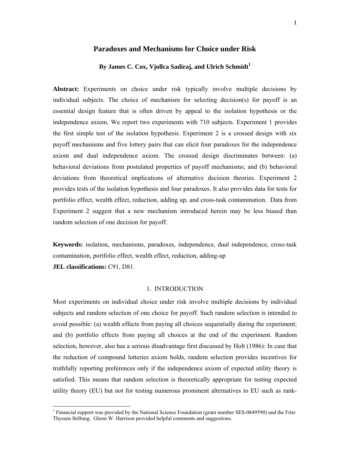# **Paradoxes and Mechanisms for Choice under Risk**

# By James C. Cox, Vjollca Sadiraj, and Ulrich Schmidt<sup>1</sup>

**Abstract:** Experiments on choice under risk typically involve multiple decisions by individual subjects. The choice of mechanism for selecting decision(s) for payoff is an essential design feature that is often driven by appeal to the isolation hypothesis or the independence axiom. We report two experiments with 710 subjects. Experiment 1 provides the first simple test of the isolation hypothesis. Experiment 2 is a crossed design with six payoff mechanisms and five lottery pairs that can elicit four paradoxes for the independence axiom and dual independence axiom. The crossed design discriminates between: (a) behavioral deviations from postulated properties of payoff mechanisms; and (b) behavioral deviations from theoretical implications of alternative decision theories. Experiment 2 provides tests of the isolation hypothesis and four paradoxes. It also provides data for tests for portfolio effect, wealth effect, reduction, adding up, and cross-task contamination. Data from Experiment 2 suggest that a new mechanism introduced herein may be less biased than random selection of one decision for payoff.

**Keywords:** isolation, mechanisms, paradoxes, independence, dual independence, cross-task contamination, portfolio effect, wealth effect, reduction, adding-up **JEL classifications:** C91, D81.

# 1. INTRODUCTION

Most experiments on individual choice under risk involve multiple decisions by individual subjects and random selection of one choice for payoff. Such random selection is intended to avoid possible: (a) wealth effects from paying all choices sequentially during the experiment; and (b) portfolio effects from paying all choices at the end of the experiment. Random selection, however, also has a serious disadvantage first discussed by Holt (1986): In case that the reduction of compound lotteries axiom holds, random selection provides incentives for truthfully reporting preferences only if the independence axiom of expected utility theory is satisfied. This means that random selection is theoretically appropriate for testing expected utility theory (EU) but not for testing numerous prominent alternatives to EU such as rank-

<sup>&</sup>lt;sup>1</sup> Financial support was provided by the National Science Foundation (grant number SES-0849590) and the Fritz Thyssen Stiftung. Glenn W. Harrison provided helpful comments and suggestions.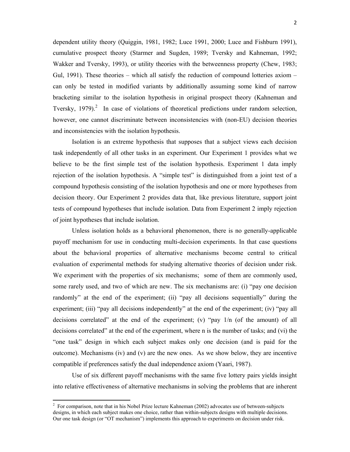dependent utility theory (Quiggin, 1981, 1982; Luce 1991, 2000; Luce and Fishburn 1991), cumulative prospect theory (Starmer and Sugden, 1989; Tversky and Kahneman, 1992; Wakker and Tversky, 1993), or utility theories with the betweenness property (Chew, 1983; Gul, 1991). These theories – which all satisfy the reduction of compound lotteries axiom – can only be tested in modified variants by additionally assuming some kind of narrow bracketing similar to the isolation hypothesis in original prospect theory (Kahneman and Tversky,  $1979$ ).<sup>2</sup> In case of violations of theoretical predictions under random selection, however, one cannot discriminate between inconsistencies with (non-EU) decision theories and inconsistencies with the isolation hypothesis.

Isolation is an extreme hypothesis that supposes that a subject views each decision task independently of all other tasks in an experiment. Our Experiment 1 provides what we believe to be the first simple test of the isolation hypothesis. Experiment 1 data imply rejection of the isolation hypothesis. A "simple test" is distinguished from a joint test of a compound hypothesis consisting of the isolation hypothesis and one or more hypotheses from decision theory. Our Experiment 2 provides data that, like previous literature, support joint tests of compound hypotheses that include isolation. Data from Experiment 2 imply rejection of joint hypotheses that include isolation.

Unless isolation holds as a behavioral phenomenon, there is no generally-applicable payoff mechanism for use in conducting multi-decision experiments. In that case questions about the behavioral properties of alternative mechanisms become central to critical evaluation of experimental methods for studying alternative theories of decision under risk. We experiment with the properties of six mechanisms; some of them are commonly used, some rarely used, and two of which are new. The six mechanisms are: (i) "pay one decision randomly" at the end of the experiment; (ii) "pay all decisions sequentially" during the experiment; (iii) "pay all decisions independently" at the end of the experiment; (iv) "pay all decisions correlated" at the end of the experiment; (v) "pay 1/n (of the amount) of all decisions correlated" at the end of the experiment, where n is the number of tasks; and (vi) the "one task" design in which each subject makes only one decision (and is paid for the outcome). Mechanisms (iv) and (v) are the new ones. As we show below, they are incentive compatible if preferences satisfy the dual independence axiom (Yaari, 1987).

Use of six different payoff mechanisms with the same five lottery pairs yields insight into relative effectiveness of alternative mechanisms in solving the problems that are inherent

 2 For comparison, note that in his Nobel Prize lecture Kahneman (2002) advocates use of between-subjects designs, in which each subject makes one choice, rather than within-subjects designs with multiple decisions. Our one task design (or "OT mechanism") implements this approach to experiments on decision under risk.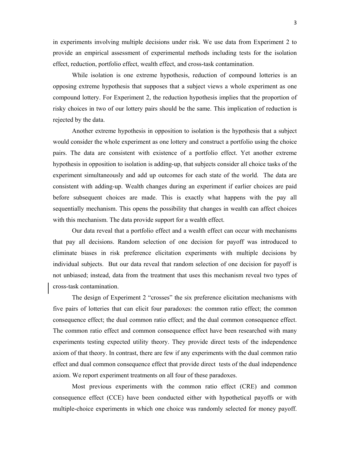in experiments involving multiple decisions under risk. We use data from Experiment 2 to provide an empirical assessment of experimental methods including tests for the isolation effect, reduction, portfolio effect, wealth effect, and cross-task contamination.

While isolation is one extreme hypothesis, reduction of compound lotteries is an opposing extreme hypothesis that supposes that a subject views a whole experiment as one compound lottery. For Experiment 2, the reduction hypothesis implies that the proportion of risky choices in two of our lottery pairs should be the same. This implication of reduction is rejected by the data.

Another extreme hypothesis in opposition to isolation is the hypothesis that a subject would consider the whole experiment as one lottery and construct a portfolio using the choice pairs. The data are consistent with existence of a portfolio effect. Yet another extreme hypothesis in opposition to isolation is adding-up, that subjects consider all choice tasks of the experiment simultaneously and add up outcomes for each state of the world. The data are consistent with adding-up. Wealth changes during an experiment if earlier choices are paid before subsequent choices are made. This is exactly what happens with the pay all sequentially mechanism. This opens the possibility that changes in wealth can affect choices with this mechanism. The data provide support for a wealth effect.

Our data reveal that a portfolio effect and a wealth effect can occur with mechanisms that pay all decisions. Random selection of one decision for payoff was introduced to eliminate biases in risk preference elicitation experiments with multiple decisions by individual subjects. But our data reveal that random selection of one decision for payoff is not unbiased; instead, data from the treatment that uses this mechanism reveal two types of cross-task contamination.

The design of Experiment 2 "crosses" the six preference elicitation mechanisms with five pairs of lotteries that can elicit four paradoxes: the common ratio effect; the common consequence effect; the dual common ratio effect; and the dual common consequence effect. The common ratio effect and common consequence effect have been researched with many experiments testing expected utility theory. They provide direct tests of the independence axiom of that theory. In contrast, there are few if any experiments with the dual common ratio effect and dual common consequence effect that provide direct tests of the dual independence axiom. We report experiment treatments on all four of these paradoxes.

Most previous experiments with the common ratio effect (CRE) and common consequence effect (CCE) have been conducted either with hypothetical payoffs or with multiple-choice experiments in which one choice was randomly selected for money payoff.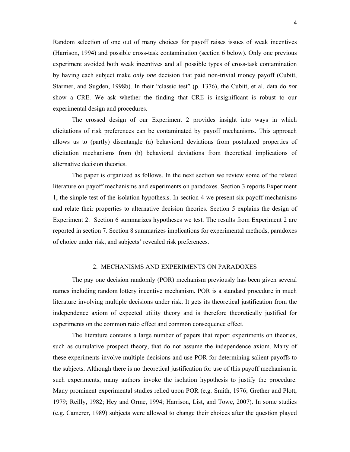Random selection of one out of many choices for payoff raises issues of weak incentives (Harrison, 1994) and possible cross-task contamination (section 6 below). Only one previous experiment avoided both weak incentives and all possible types of cross-task contamination by having each subject make *only one* decision that paid non-trivial money payoff (Cubitt, Starmer, and Sugden, 1998b). In their "classic test" (p. 1376), the Cubitt, et al. data do *not* show a CRE. We ask whether the finding that CRE is insignificant is robust to our experimental design and procedures.

The crossed design of our Experiment 2 provides insight into ways in which elicitations of risk preferences can be contaminated by payoff mechanisms. This approach allows us to (partly) disentangle (a) behavioral deviations from postulated properties of elicitation mechanisms from (b) behavioral deviations from theoretical implications of alternative decision theories.

The paper is organized as follows. In the next section we review some of the related literature on payoff mechanisms and experiments on paradoxes. Section 3 reports Experiment 1, the simple test of the isolation hypothesis. In section 4 we present six payoff mechanisms and relate their properties to alternative decision theories. Section 5 explains the design of Experiment 2. Section 6 summarizes hypotheses we test. The results from Experiment 2 are reported in section 7. Section 8 summarizes implications for experimental methods, paradoxes of choice under risk, and subjects' revealed risk preferences.

# 2. MECHANISMS AND EXPERIMENTS ON PARADOXES

The pay one decision randomly (POR) mechanism previously has been given several names including random lottery incentive mechanism. POR is a standard procedure in much literature involving multiple decisions under risk. It gets its theoretical justification from the independence axiom of expected utility theory and is therefore theoretically justified for experiments on the common ratio effect and common consequence effect.

 The literature contains a large number of papers that report experiments on theories, such as cumulative prospect theory, that do not assume the independence axiom. Many of these experiments involve multiple decisions and use POR for determining salient payoffs to the subjects. Although there is no theoretical justification for use of this payoff mechanism in such experiments, many authors invoke the isolation hypothesis to justify the procedure. Many prominent experimental studies relied upon POR (e.g. Smith, 1976; Grether and Plott, 1979; Reilly, 1982; Hey and Orme, 1994; Harrison, List, and Towe, 2007). In some studies (e.g. Camerer, 1989) subjects were allowed to change their choices after the question played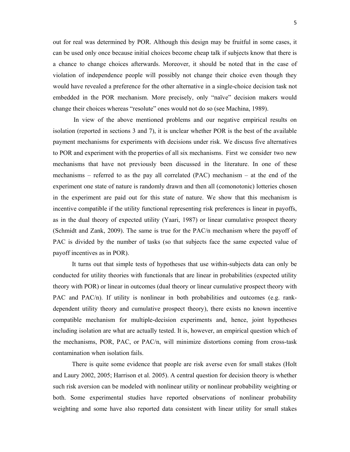out for real was determined by POR. Although this design may be fruitful in some cases, it can be used only once because initial choices become cheap talk if subjects know that there is a chance to change choices afterwards. Moreover, it should be noted that in the case of violation of independence people will possibly not change their choice even though they would have revealed a preference for the other alternative in a single-choice decision task not embedded in the POR mechanism. More precisely, only "naïve" decision makers would change their choices whereas "resolute" ones would not do so (see Machina, 1989).

 In view of the above mentioned problems and our negative empirical results on isolation (reported in sections 3 and 7), it is unclear whether POR is the best of the available payment mechanisms for experiments with decisions under risk. We discuss five alternatives to POR and experiment with the properties of all six mechanisms. First we consider two new mechanisms that have not previously been discussed in the literature. In one of these mechanisms – referred to as the pay all correlated (PAC) mechanism – at the end of the experiment one state of nature is randomly drawn and then all (comonotonic) lotteries chosen in the experiment are paid out for this state of nature. We show that this mechanism is incentive compatible if the utility functional representing risk preferences is linear in payoffs, as in the dual theory of expected utility (Yaari, 1987) or linear cumulative prospect theory (Schmidt and Zank, 2009). The same is true for the PAC/n mechanism where the payoff of PAC is divided by the number of tasks (so that subjects face the same expected value of payoff incentives as in POR).

 It turns out that simple tests of hypotheses that use within-subjects data can only be conducted for utility theories with functionals that are linear in probabilities (expected utility theory with POR) or linear in outcomes (dual theory or linear cumulative prospect theory with PAC and PAC/n). If utility is nonlinear in both probabilities and outcomes (e.g. rankdependent utility theory and cumulative prospect theory), there exists no known incentive compatible mechanism for multiple-decision experiments and, hence, joint hypotheses including isolation are what are actually tested. It is, however, an empirical question which of the mechanisms, POR, PAC, or PAC/n, will minimize distortions coming from cross-task contamination when isolation fails.

There is quite some evidence that people are risk averse even for small stakes (Holt and Laury 2002, 2005; Harrison et al. 2005). A central question for decision theory is whether such risk aversion can be modeled with nonlinear utility or nonlinear probability weighting or both. Some experimental studies have reported observations of nonlinear probability weighting and some have also reported data consistent with linear utility for small stakes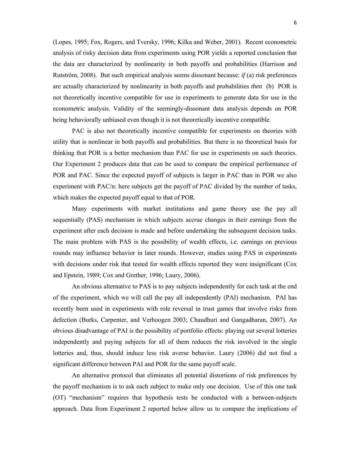(Lopes, 1995; Fox, Rogers, and Tversky, 1996; Kilka and Weber, 2001). Recent econometric analysis of risky decision data from experiments using POR yields a reported conclusion that the data are characterized by nonlinearity in both payoffs and probabilities (Harrison and Rutström, 2008). But such empirical analysis seems dissonant because: *if* (a) risk preferences are actually characterized by nonlinearity in both payoffs and probabilities *then* (b) POR is not theoretically incentive compatible for use in experiments to generate data for use in the econometric analysis. Validity of the seemingly-dissonant data analysis depends on POR being behaviorally unbiased even though it is not theoretically incentive compatible.

PAC is also not theoretically incentive compatible for experiments on theories with utility that is nonlinear in both payoffs and probabilities. But there is no theoretical basis for thinking that POR is a better mechanism than PAC for use in experiments on such theories. Our Experiment 2 produces data that can be used to compare the empirical performance of POR and PAC. Since the expected payoff of subjects is larger in PAC than in POR we also experiment with PAC/n: here subjects get the payoff of PAC divided by the number of tasks, which makes the expected payoff equal to that of POR.

Many experiments with market institutions and game theory use the pay all sequentially (PAS) mechanism in which subjects accrue changes in their earnings from the experiment after each decision is made and before undertaking the subsequent decision tasks. The main problem with PAS is the possibility of wealth effects, i.e. earnings on previous rounds may influence behavior in later rounds. However, studies using PAS in experiments with decisions under risk that tested for wealth effects reported they were insignificant (Cox and Epstein, 1989; Cox and Grether, 1996; Laury, 2006).

An obvious alternative to PAS is to pay subjects independently for each task at the end of the experiment, which we will call the pay all independently (PAI) mechanism. PAI has recently been used in experiments with role reversal in trust games that involve risks from defection (Burks, Carpenter, and Verhoogen 2003; Chaudhuri and Gangadharan, 2007). An obvious disadvantage of PAI is the possibility of portfolio effects: playing out several lotteries independently and paying subjects for all of them reduces the risk involved in the single lotteries and, thus, should induce less risk averse behavior. Laury (2006) did not find a significant difference between PAI and POR for the same payoff scale.

An alternative protocol that eliminates all potential distortions of risk preferences by the payoff mechanism is to ask each subject to make only one decision. Use of this one task (OT) "mechanism" requires that hypothesis tests be conducted with a between-subjects approach. Data from Experiment 2 reported below allow us to compare the implications of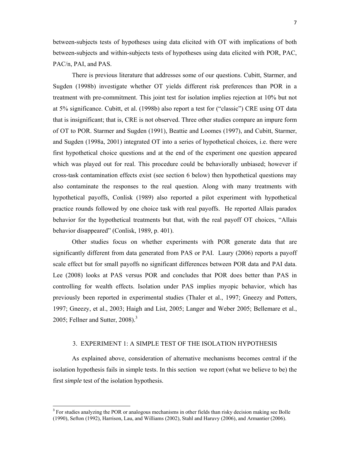between-subjects tests of hypotheses using data elicited with OT with implications of both between-subjects and within-subjects tests of hypotheses using data elicited with POR, PAC, PAC/n, PAI, and PAS.

There is previous literature that addresses some of our questions. Cubitt, Starmer, and Sugden (1998b) investigate whether OT yields different risk preferences than POR in a treatment with pre-commitment. This joint test for isolation implies rejection at 10% but not at 5% significance. Cubitt, et al. (1998b) also report a test for ("classic") CRE using OT data that is insignificant; that is, CRE is not observed. Three other studies compare an impure form of OT to POR. Starmer and Sugden (1991), Beattie and Loomes (1997), and Cubitt, Starmer, and Sugden (1998a, 2001) integrated OT into a series of hypothetical choices, i.e. there were first hypothetical choice questions and at the end of the experiment one question appeared which was played out for real. This procedure could be behaviorally unbiased; however if cross-task contamination effects exist (see section 6 below) then hypothetical questions may also contaminate the responses to the real question. Along with many treatments with hypothetical payoffs, Conlisk (1989) also reported a pilot experiment with hypothetical practice rounds followed by one choice task with real payoffs. He reported Allais paradox behavior for the hypothetical treatments but that, with the real payoff OT choices, "Allais behavior disappeared" (Conlisk, 1989, p. 401).

Other studies focus on whether experiments with POR generate data that are significantly different from data generated from PAS or PAI. Laury (2006) reports a payoff scale effect but for small payoffs no significant differences between POR data and PAI data. Lee (2008) looks at PAS versus POR and concludes that POR does better than PAS in controlling for wealth effects. Isolation under PAS implies myopic behavior, which has previously been reported in experimental studies (Thaler et al., 1997; Gneezy and Potters, 1997; Gneezy, et al., 2003; Haigh and List, 2005; Langer and Weber 2005; Bellemare et al., 2005; Fellner and Sutter, 2008). $3$ 

#### 3. EXPERIMENT 1: A SIMPLE TEST OF THE ISOLATION HYPOTHESIS

As explained above, consideration of alternative mechanisms becomes central if the isolation hypothesis fails in simple tests. In this section we report (what we believe to be) the first *simple* test of the isolation hypothesis.

<sup>&</sup>lt;sup>3</sup> For studies analyzing the POR or analogous mechanisms in other fields than risky decision making see Bolle (1990), Sefton (1992), Harrison, Lau, and Williams (2002), Stahl and Haruvy (2006), and Armantier (2006).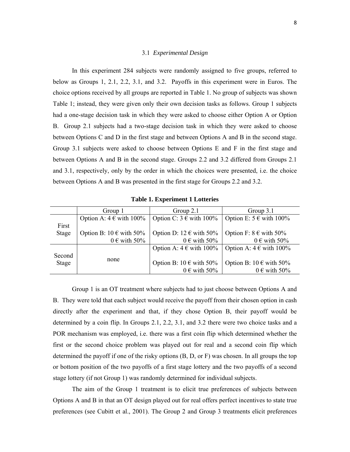# 3.1 *Experimental Design*

In this experiment 284 subjects were randomly assigned to five groups, referred to below as Groups 1, 2.1, 2.2, 3.1, and 3.2. Payoffs in this experiment were in Euros. The choice options received by all groups are reported in Table 1. No group of subjects was shown Table 1; instead, they were given only their own decision tasks as follows. Group 1 subjects had a one-stage decision task in which they were asked to choose either Option A or Option B. Group 2.1 subjects had a two-stage decision task in which they were asked to choose between Options C and D in the first stage and between Options A and B in the second stage. Group 3.1 subjects were asked to choose between Options E and F in the first stage and between Options A and B in the second stage. Groups 2.2 and 3.2 differed from Groups 2.1 and 3.1, respectively, only by the order in which the choices were presented, i.e. the choice between Options A and B was presented in the first stage for Groups 2.2 and 3.2.

|              | Group 1                              | Group 2.1                            | Group 3.1                            |  |
|--------------|--------------------------------------|--------------------------------------|--------------------------------------|--|
|              | Option A: $4 \in \text{with } 100\%$ | Option C: $3 \in \text{with } 100\%$ | Option E: $5 \in \text{with } 100\%$ |  |
| First        |                                      |                                      |                                      |  |
| <b>Stage</b> | Option B: $10 \in \text{with } 50\%$ | Option D: 12 $\epsilon$ with 50%     | Option F: $8 \in \text{with } 50\%$  |  |
|              | $0 \in \text{with } 50\%$            | $0 \in \text{with } 50\%$            | $0 \in \text{with } 50\%$            |  |
|              |                                      | Option A: $4 \in \text{with } 100\%$ | Option A: $4 \in \text{with } 100\%$ |  |
| Second       |                                      |                                      |                                      |  |
| <b>Stage</b> | none                                 | Option B: $10 \in \text{with } 50\%$ | Option B: $10 \in \text{with } 50\%$ |  |
|              |                                      | $0 \in \text{with } 50\%$            | $0 \in \text{with } 50\%$            |  |

**Table 1. Experiment 1 Lotteries**

Group 1 is an OT treatment where subjects had to just choose between Options A and B. They were told that each subject would receive the payoff from their chosen option in cash directly after the experiment and that, if they chose Option B, their payoff would be determined by a coin flip. In Groups 2.1, 2.2, 3.1, and 3.2 there were two choice tasks and a POR mechanism was employed, i.e. there was a first coin flip which determined whether the first or the second choice problem was played out for real and a second coin flip which determined the payoff if one of the risky options (B, D, or F) was chosen. In all groups the top or bottom position of the two payoffs of a first stage lottery and the two payoffs of a second stage lottery (if not Group 1) was randomly determined for individual subjects.

The aim of the Group 1 treatment is to elicit true preferences of subjects between Options A and B in that an OT design played out for real offers perfect incentives to state true preferences (see Cubitt et al., 2001). The Group 2 and Group 3 treatments elicit preferences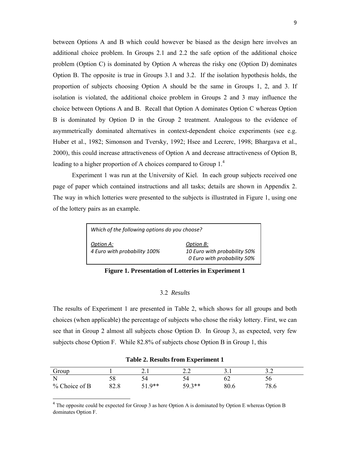between Options A and B which could however be biased as the design here involves an additional choice problem. In Groups 2.1 and 2.2 the safe option of the additional choice problem (Option C) is dominated by Option A whereas the risky one (Option D) dominates Option B. The opposite is true in Groups 3.1 and 3.2. If the isolation hypothesis holds, the proportion of subjects choosing Option A should be the same in Groups 1, 2, and 3. If isolation is violated, the additional choice problem in Groups 2 and 3 may influence the choice between Options A and B. Recall that Option A dominates Option C whereas Option B is dominated by Option D in the Group 2 treatment. Analogous to the evidence of asymmetrically dominated alternatives in context-dependent choice experiments (see e.g. Huber et al., 1982; Simonson and Tversky, 1992; Hsee and Lecrerc, 1998; Bhargava et al., 2000), this could increase attractiveness of Option A and decrease attractiveness of Option B, leading to a higher proportion of A choices compared to Group  $1<sup>4</sup>$ 

Experiment 1 was run at the University of Kiel. In each group subjects received one page of paper which contained instructions and all tasks; details are shown in Appendix 2. The way in which lotteries were presented to the subjects is illustrated in Figure 1, using one of the lottery pairs as an example.

| Which of the following options do you choose? |                                                                          |  |  |  |  |  |  |  |
|-----------------------------------------------|--------------------------------------------------------------------------|--|--|--|--|--|--|--|
| Option A:<br>4 Euro with probability 100%     | Option B:<br>10 Euro with probability 50%<br>0 Euro with probability 50% |  |  |  |  |  |  |  |

**Figure 1. Presentation of Lotteries in Experiment 1** 

# 3.2 *Results*

The results of Experiment 1 are presented in Table 2, which shows for all groups and both choices (when applicable) the percentage of subjects who chose the risky lottery. First, we can see that in Group 2 almost all subjects chose Option D. In Group 3, as expected, very few subjects chose Option F. While 82.8% of subjects chose Option B in Group 1, this

| Group           |      | 2. l     | <u>.</u> | <u>.</u> | J.L  |
|-----------------|------|----------|----------|----------|------|
|                 | 58   | 54       |          | 62       | Эb   |
| $%$ Choice of B | 82.8 | $51.0**$ | $50.3**$ | 80.6     | 78.6 |

**Table 2. Results from Experiment 1** 

<sup>4</sup> The opposite could be expected for Group 3 as here Option A is dominated by Option E whereas Option B dominates Option F.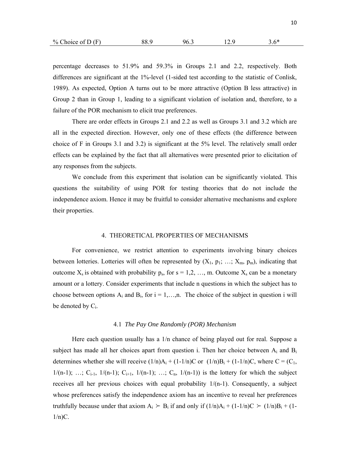| $%$ Choice of D (F) | 88.9 | $96_{-}$ |  | $5.6*$ |
|---------------------|------|----------|--|--------|
|---------------------|------|----------|--|--------|

percentage decreases to 51.9% and 59.3% in Groups 2.1 and 2.2, respectively. Both differences are significant at the 1%-level (1-sided test according to the statistic of Conlisk, 1989). As expected, Option A turns out to be more attractive (Option B less attractive) in Group 2 than in Group 1, leading to a significant violation of isolation and, therefore, to a failure of the POR mechanism to elicit true preferences.

There are order effects in Groups 2.1 and 2.2 as well as Groups 3.1 and 3.2 which are all in the expected direction. However, only one of these effects (the difference between choice of F in Groups 3.1 and 3.2) is significant at the 5% level. The relatively small order effects can be explained by the fact that all alternatives were presented prior to elicitation of any responses from the subjects.

We conclude from this experiment that isolation can be significantly violated. This questions the suitability of using POR for testing theories that do not include the independence axiom. Hence it may be fruitful to consider alternative mechanisms and explore their properties.

#### 4. THEORETICAL PROPERTIES OF MECHANISMS

For convenience, we restrict attention to experiments involving binary choices between lotteries. Lotteries will often be represented by  $(X_1, p_1; \ldots; X_m, p_m)$ , indicating that outcome  $X_s$  is obtained with probability  $p_s$ , for  $s = 1, 2, ..., m$ . Outcome  $X_s$  can be a monetary amount or a lottery. Consider experiments that include n questions in which the subject has to choose between options  $A_i$  and  $B_i$ , for  $i = 1,...,n$ . The choice of the subject in question i will be denoted by  $C_i$ .

#### 4.1 *The Pay One Randomly (POR) Mechanism*

Here each question usually has a 1/n chance of being played out for real. Suppose a subject has made all her choices apart from question i. Then her choice between  $A_i$  and  $B_i$ determines whether she will receive  $(1/n)A_i + (1-1/n)C$  or  $(1/n)B_i + (1-1/n)C$ , where  $C = (C_1,$  $1/(n-1); \ldots; C_{i-1}, 1/(n-1); C_{i+1}, 1/(n-1); \ldots; C_n, 1/(n-1))$  is the lottery for which the subject receives all her previous choices with equal probability  $1/(n-1)$ . Consequently, a subject whose preferences satisfy the independence axiom has an incentive to reveal her preferences truthfully because under that axiom  $A_i \geq B_i$  if and only if  $(1/n)A_i + (1-1/n)C \geq (1/n)B_i + (1-1/n)C$  $1/n$ )C.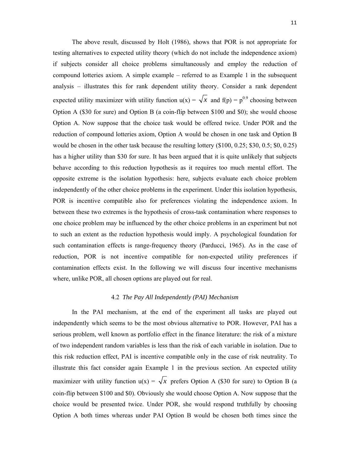The above result, discussed by Holt (1986), shows that POR is not appropriate for testing alternatives to expected utility theory (which do not include the independence axiom) if subjects consider all choice problems simultaneously and employ the reduction of compound lotteries axiom. A simple example – referred to as Example 1 in the subsequent analysis – illustrates this for rank dependent utility theory. Consider a rank dependent expected utility maximizer with utility function  $u(x) = \sqrt{x}$  and  $f(p) = p^{0.9}$  choosing between Option A (\$30 for sure) and Option B (a coin-flip between \$100 and \$0); she would choose Option A. Now suppose that the choice task would be offered twice. Under POR and the reduction of compound lotteries axiom, Option A would be chosen in one task and Option B would be chosen in the other task because the resulting lottery (\$100, 0.25; \$30, 0.5; \$0, 0.25) has a higher utility than \$30 for sure. It has been argued that it is quite unlikely that subjects behave according to this reduction hypothesis as it requires too much mental effort. The opposite extreme is the isolation hypothesis: here, subjects evaluate each choice problem independently of the other choice problems in the experiment. Under this isolation hypothesis, POR is incentive compatible also for preferences violating the independence axiom. In between these two extremes is the hypothesis of cross-task contamination where responses to one choice problem may be influenced by the other choice problems in an experiment but not to such an extent as the reduction hypothesis would imply. A psychological foundation for such contamination effects is range-frequency theory (Parducci, 1965). As in the case of reduction, POR is not incentive compatible for non-expected utility preferences if contamination effects exist. In the following we will discuss four incentive mechanisms where, unlike POR, all chosen options are played out for real.

#### 4.2 *The Pay All Independently (PAI) Mechanism*

In the PAI mechanism, at the end of the experiment all tasks are played out independently which seems to be the most obvious alternative to POR. However, PAI has a serious problem, well known as portfolio effect in the finance literature: the risk of a mixture of two independent random variables is less than the risk of each variable in isolation. Due to this risk reduction effect, PAI is incentive compatible only in the case of risk neutrality. To illustrate this fact consider again Example 1 in the previous section. An expected utility maximizer with utility function  $u(x) = \sqrt{x}$  prefers Option A (\$30 for sure) to Option B (a coin-flip between \$100 and \$0). Obviously she would choose Option A. Now suppose that the choice would be presented twice. Under POR, she would respond truthfully by choosing Option A both times whereas under PAI Option B would be chosen both times since the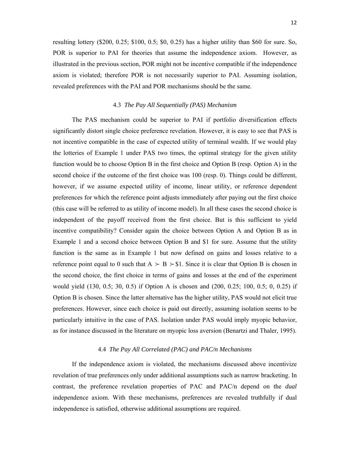resulting lottery (\$200, 0.25; \$100, 0.5; \$0, 0.25) has a higher utility than \$60 for sure. So, POR is superior to PAI for theories that assume the independence axiom. However, as illustrated in the previous section, POR might not be incentive compatible if the independence axiom is violated; therefore POR is not necessarily superior to PAI. Assuming isolation, revealed preferences with the PAI and POR mechanisms should be the same.

# 4.3 *The Pay All Sequentially (PAS) Mechanism*

The PAS mechanism could be superior to PAI if portfolio diversification effects significantly distort single choice preference revelation. However, it is easy to see that PAS is not incentive compatible in the case of expected utility of terminal wealth. If we would play the lotteries of Example 1 under PAS two times, the optimal strategy for the given utility function would be to choose Option B in the first choice and Option B (resp. Option A) in the second choice if the outcome of the first choice was 100 (resp. 0). Things could be different, however, if we assume expected utility of income, linear utility, or reference dependent preferences for which the reference point adjusts immediately after paying out the first choice (this case will be referred to as utility of income model). In all these cases the second choice is independent of the payoff received from the first choice. But is this sufficient to yield incentive compatibility? Consider again the choice between Option A and Option B as in Example 1 and a second choice between Option B and \$1 for sure. Assume that the utility function is the same as in Example 1 but now defined on gains and losses relative to a reference point equal to 0 such that  $A \succ B \succ $1$ . Since it is clear that Option B is chosen in the second choice, the first choice in terms of gains and losses at the end of the experiment would yield (130, 0.5; 30, 0.5) if Option A is chosen and (200, 0.25; 100, 0.5; 0, 0.25) if Option B is chosen. Since the latter alternative has the higher utility, PAS would not elicit true preferences. However, since each choice is paid out directly, assuming isolation seems to be particularly intuitive in the case of PAS. Isolation under PAS would imply myopic behavior, as for instance discussed in the literature on myopic loss aversion (Benartzi and Thaler, 1995).

#### 4.4 *The Pay All Correlated (PAC) and PAC/n Mechanisms*

If the independence axiom is violated, the mechanisms discussed above incentivize revelation of true preferences only under additional assumptions such as narrow bracketing. In contrast, the preference revelation properties of PAC and PAC/n depend on the *dual* independence axiom. With these mechanisms, preferences are revealed truthfully if dual independence is satisfied, otherwise additional assumptions are required.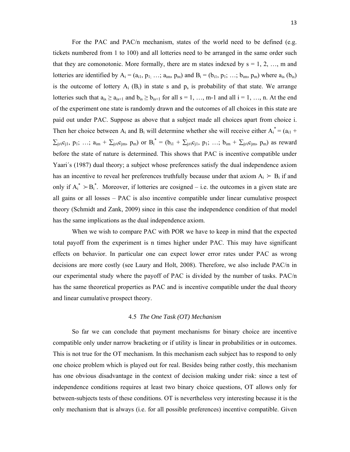For the PAC and PAC/n mechanism, states of the world need to be defined (e.g. tickets numbered from 1 to 100) and all lotteries need to be arranged in the same order such that they are comonotonic. More formally, there are m states indexed by  $s = 1, 2, ..., m$  and lotteries are identified by  $A_i = (a_{i1}, p_{1}; \ldots; a_{im}, p_m)$  and  $B_i = (b_{i1}, p_1; \ldots; b_{im}, p_m)$  where  $a_{is}$   $(b_{is})$ is the outcome of lottery  $A_i$  ( $B_i$ ) in state s and  $p_s$  is probability of that state. We arrange lotteries such that  $a_{is} \ge a_{is+1}$  and  $b_{is} \ge b_{is+1}$  for all  $s = 1, ..., m-1$  and all  $i = 1, ..., n$ . At the end of the experiment one state is randomly drawn and the outcomes of all choices in this state are paid out under PAC. Suppose as above that a subject made all choices apart from choice i. Then her choice between  $A_i$  and  $B_i$  will determine whether she will receive either  $A_i^* = (a_{i1} + a_{i2})$  $\sum_{j\neq i} c_{j1}, p_1; \ldots; a_{im} + \sum_{j\neq i} c_{jm}, p_m)$  or  $B_i^* = (b_{i1} + \sum_{j\neq i} c_{j1}, p_1; \ldots; b_{im} + \sum_{j\neq i} c_{jm}, p_m)$  as reward before the state of nature is determined. This shows that PAC is incentive compatible under Yaari´s (1987) dual theory; a subject whose preferences satisfy the dual independence axiom has an incentive to reveal her preferences truthfully because under that axiom  $A_i \succ B_i$  if and only if  $A_i^* \succ B_i^*$ . Moreover, if lotteries are cosigned – i.e. the outcomes in a given state are all gains or all losses – PAC is also incentive compatible under linear cumulative prospect theory (Schmidt and Zank, 2009) since in this case the independence condition of that model has the same implications as the dual independence axiom.

When we wish to compare PAC with POR we have to keep in mind that the expected total payoff from the experiment is n times higher under PAC. This may have significant effects on behavior. In particular one can expect lower error rates under PAC as wrong decisions are more costly (see Laury and Holt, 2008). Therefore, we also include PAC/n in our experimental study where the payoff of PAC is divided by the number of tasks. PAC/n has the same theoretical properties as PAC and is incentive compatible under the dual theory and linear cumulative prospect theory.

#### 4.5 *The One Task (OT) Mechanism*

So far we can conclude that payment mechanisms for binary choice are incentive compatible only under narrow bracketing or if utility is linear in probabilities or in outcomes. This is not true for the OT mechanism. In this mechanism each subject has to respond to only one choice problem which is played out for real. Besides being rather costly, this mechanism has one obvious disadvantage in the context of decision making under risk: since a test of independence conditions requires at least two binary choice questions, OT allows only for between-subjects tests of these conditions. OT is nevertheless very interesting because it is the only mechanism that is always (i.e. for all possible preferences) incentive compatible. Given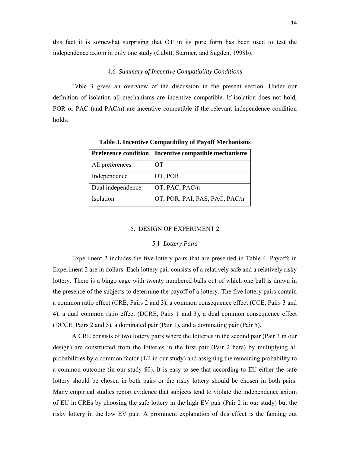this fact it is somewhat surprising that OT in its pure form has been used to test the independence axiom in only one study (Cubitt, Starmer, and Sugden, 1998b).

#### 4.6 *Summary of Incentive Compatibility Conditions*

Table 3 gives an overview of the discussion in the present section. Under our definition of isolation all mechanisms are incentive compatible. If isolation does not hold, POR or PAC (and PAC/n) are incentive compatible if the relevant independence condition holds.

| <b>Preference condition</b> | <b>Incentive compatible mechanisms</b> |
|-----------------------------|----------------------------------------|
| All preferences             | <b>OT</b>                              |
| Independence                | OT, POR                                |
| Dual independence           | OT, PAC, PAC/n                         |
| Isolation                   | OT, POR, PAI, PAS, PAC, PAC/n          |

**Table 3. Incentive Compatibility of Payoff Mechanisms** 

#### 5. DESIGN OF EXPERIMENT 2

#### 5.1 *Lottery Pairs*

Experiment 2 includes the five lottery pairs that are presented in Table 4. Payoffs in Experiment 2 are in dollars. Each lottery pair consists of a relatively safe and a relatively risky lottery. There is a bingo cage with twenty numbered balls out of which one ball is drawn in the presence of the subjects to determine the payoff of a lottery. The five lottery pairs contain a common ratio effect (CRE, Pairs 2 and 3), a common consequence effect (CCE, Pairs 3 and 4), a dual common ratio effect (DCRE, Pairs 1 and 3), a dual common consequence effect (DCCE, Pairs 2 and 5), a dominated pair (Pair 1), and a dominating pair (Pair 5).

 A CRE consists of two lottery pairs where the lotteries in the second pair (Pair 3 in our design) are constructed from the lotteries in the first pair (Pair 2 here) by multiplying all probabilities by a common factor (1/4 in our study) and assigning the remaining probability to a common outcome (in our study \$0). It is easy to see that according to EU either the safe lottery should be chosen in both pairs or the risky lottery should be chosen in both pairs. Many empirical studies report evidence that subjects tend to violate the independence axiom of EU in CREs by choosing the safe lottery in the high EV pair (Pair 2 in our study) but the risky lottery in the low EV pair. A prominent explanation of this effect is the fanning out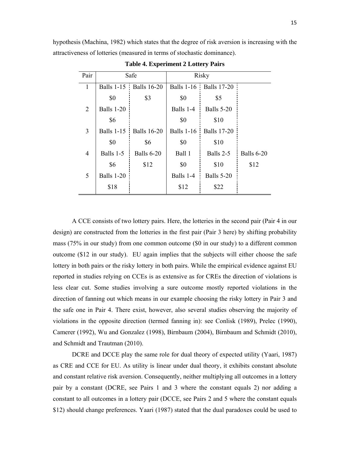hypothesis (Machina, 1982) which states that the degree of risk aversion is increasing with the attractiveness of lotteries (measured in terms of stochastic dominance).

| Pair           |                   | Safe                     | <b>Risky</b>      |                        |                   |
|----------------|-------------------|--------------------------|-------------------|------------------------|-------------------|
| 1              |                   | Balls 1-15   Balls 16-20 |                   | Balls 1-16 Balls 17-20 |                   |
|                | \$0               | \$3                      | \$0               | \$5                    |                   |
| $\overline{2}$ | Balls 1-20        |                          | Balls 1-4         | <b>Balls 5-20</b>      |                   |
|                | \$6               |                          | \$0               | \$10                   |                   |
| 3              | <b>Balls 1-15</b> | <b>Balls</b> 16-20       | <b>Balls 1-16</b> | <b>Balls</b> 17-20     |                   |
|                | \$0               | \$6                      | \$0               | \$10                   |                   |
| $\overline{4}$ | Balls 1-5         | <b>Balls 6-20</b>        | Ball 1            | Balls 2-5              | <b>Balls 6-20</b> |
|                | \$6               | \$12                     | \$0               | \$10                   | \$12              |
| 5              | <b>Balls 1-20</b> |                          | Balls 1-4         | <b>Balls 5-20</b>      |                   |
|                | \$18              |                          | \$12              | \$22                   |                   |

**Table 4. Experiment 2 Lottery Pairs** 

A CCE consists of two lottery pairs. Here, the lotteries in the second pair (Pair 4 in our design) are constructed from the lotteries in the first pair (Pair 3 here) by shifting probability mass (75% in our study) from one common outcome (\$0 in our study) to a different common outcome (\$12 in our study). EU again implies that the subjects will either choose the safe lottery in both pairs or the risky lottery in both pairs. While the empirical evidence against EU reported in studies relying on CCEs is as extensive as for CREs the direction of violations is less clear cut. Some studies involving a sure outcome mostly reported violations in the direction of fanning out which means in our example choosing the risky lottery in Pair 3 and the safe one in Pair 4. There exist, however, also several studies observing the majority of violations in the opposite direction (termed fanning in): see Conlisk (1989), Prelec (1990), Camerer (1992), Wu and Gonzalez (1998), Birnbaum (2004), Birnbaum and Schmidt (2010), and Schmidt and Trautman (2010).

 DCRE and DCCE play the same role for dual theory of expected utility (Yaari, 1987) as CRE and CCE for EU. As utility is linear under dual theory, it exhibits constant absolute and constant relative risk aversion. Consequently, neither multiplying all outcomes in a lottery pair by a constant (DCRE, see Pairs 1 and 3 where the constant equals 2) nor adding a constant to all outcomes in a lottery pair (DCCE, see Pairs 2 and 5 where the constant equals \$12) should change preferences. Yaari (1987) stated that the dual paradoxes could be used to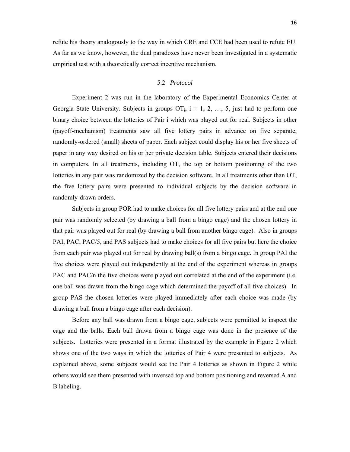refute his theory analogously to the way in which CRE and CCE had been used to refute EU. As far as we know, however, the dual paradoxes have never been investigated in a systematic empirical test with a theoretically correct incentive mechanism.

#### 5.2 *Protocol*

Experiment 2 was run in the laboratory of the Experimental Economics Center at Georgia State University. Subjects in groups  $OT_i$ ,  $i = 1, 2, ..., 5$ , just had to perform one binary choice between the lotteries of Pair i which was played out for real. Subjects in other (payoff-mechanism) treatments saw all five lottery pairs in advance on five separate, randomly-ordered (small) sheets of paper. Each subject could display his or her five sheets of paper in any way desired on his or her private decision table. Subjects entered their decisions in computers. In all treatments, including OT, the top or bottom positioning of the two lotteries in any pair was randomized by the decision software. In all treatments other than OT, the five lottery pairs were presented to individual subjects by the decision software in randomly-drawn orders.

Subjects in group POR had to make choices for all five lottery pairs and at the end one pair was randomly selected (by drawing a ball from a bingo cage) and the chosen lottery in that pair was played out for real (by drawing a ball from another bingo cage). Also in groups PAI, PAC, PAC/5, and PAS subjects had to make choices for all five pairs but here the choice from each pair was played out for real by drawing ball(s) from a bingo cage. In group PAI the five choices were played out independently at the end of the experiment whereas in groups PAC and PAC/n the five choices were played out correlated at the end of the experiment (i.e. one ball was drawn from the bingo cage which determined the payoff of all five choices). In group PAS the chosen lotteries were played immediately after each choice was made (by drawing a ball from a bingo cage after each decision).

Before any ball was drawn from a bingo cage, subjects were permitted to inspect the cage and the balls. Each ball drawn from a bingo cage was done in the presence of the subjects. Lotteries were presented in a format illustrated by the example in Figure 2 which shows one of the two ways in which the lotteries of Pair 4 were presented to subjects. As explained above, some subjects would see the Pair 4 lotteries as shown in Figure 2 while others would see them presented with inversed top and bottom positioning and reversed A and B labeling.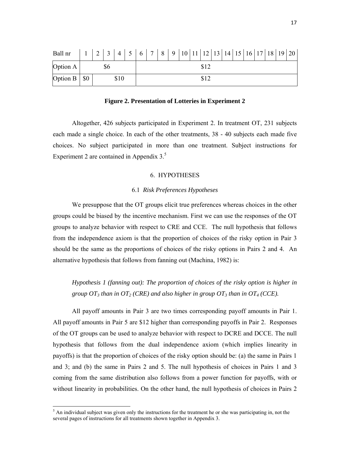| Ball nr            |      |  | $2 \mid 3 \mid$ |  | $4 \mid 5 \mid 6 \mid 7 \mid 8 \mid 9 \mid 10 \mid 11 \mid 12 \mid 13 \mid 14 \mid 15 \mid 16 \mid 17 \mid 18 \mid 19 \mid 20$ |      |  |  |  |  |  |      |  |  |  |  |  |
|--------------------|------|--|-----------------|--|--------------------------------------------------------------------------------------------------------------------------------|------|--|--|--|--|--|------|--|--|--|--|--|
| Option A           |      |  | \$6             |  |                                                                                                                                |      |  |  |  |  |  | \$12 |  |  |  |  |  |
| Option $B \mid $0$ | \$10 |  |                 |  |                                                                                                                                | \$12 |  |  |  |  |  |      |  |  |  |  |  |

**Figure 2. Presentation of Lotteries in Experiment 2**

Altogether, 426 subjects participated in Experiment 2. In treatment OT, 231 subjects each made a single choice. In each of the other treatments, 38 - 40 subjects each made five choices. No subject participated in more than one treatment. Subject instructions for Experiment 2 are contained in Appendix  $3<sup>5</sup>$ .

#### 6. HYPOTHESES

#### 6.1 *Risk Preferences Hypotheses*

We presuppose that the OT groups elicit true preferences whereas choices in the other groups could be biased by the incentive mechanism. First we can use the responses of the OT groups to analyze behavior with respect to CRE and CCE. The null hypothesis that follows from the independence axiom is that the proportion of choices of the risky option in Pair 3 should be the same as the proportions of choices of the risky options in Pairs 2 and 4. An alternative hypothesis that follows from fanning out (Machina, 1982) is:

*Hypothesis 1 (fanning out): The proportion of choices of the risky option is higher in group OT<sub>3</sub> than in OT<sub>2</sub> (CRE) and also higher in group OT<sub>3</sub> than in OT<sub>4</sub> (CCE).* 

All payoff amounts in Pair 3 are two times corresponding payoff amounts in Pair 1. All payoff amounts in Pair 5 are \$12 higher than corresponding payoffs in Pair 2. Responses of the OT groups can be used to analyze behavior with respect to DCRE and DCCE. The null hypothesis that follows from the dual independence axiom (which implies linearity in payoffs) is that the proportion of choices of the risky option should be: (a) the same in Pairs 1 and 3; and (b) the same in Pairs 2 and 5. The null hypothesis of choices in Pairs 1 and 3 coming from the same distribution also follows from a power function for payoffs, with or without linearity in probabilities. On the other hand, the null hypothesis of choices in Pairs 2

<sup>&</sup>lt;sup>5</sup> An individual subject was given only the instructions for the treatment he or she was participating in, not the several pages of instructions for all treatments shown together in Appendix 3.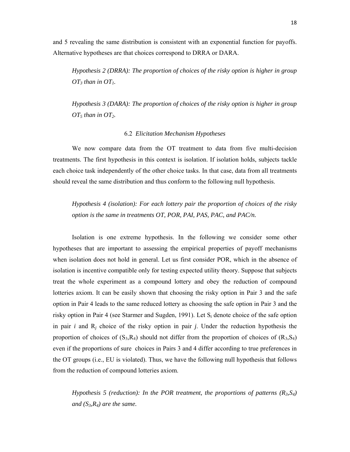and 5 revealing the same distribution is consistent with an exponential function for payoffs. Alternative hypotheses are that choices correspond to DRRA or DARA.

*Hypothesis 2 (DRRA): The proportion of choices of the risky option is higher in group*   $OT_3$  than in  $OT_1$ .

*Hypothesis 3 (DARA): The proportion of choices of the risky option is higher in group OT5 than in OT2.* 

#### 6.2 *Elicitation Mechanism Hypotheses*

We now compare data from the OT treatment to data from five multi-decision treatments. The first hypothesis in this context is isolation. If isolation holds, subjects tackle each choice task independently of the other choice tasks. In that case, data from all treatments should reveal the same distribution and thus conform to the following null hypothesis.

*Hypothesis 4 (isolation): For each lottery pair the proportion of choices of the risky option is the same in treatments OT, POR, PAI, PAS, PAC, and PAC/n.* 

Isolation is one extreme hypothesis. In the following we consider some other hypotheses that are important to assessing the empirical properties of payoff mechanisms when isolation does not hold in general. Let us first consider POR, which in the absence of isolation is incentive compatible only for testing expected utility theory. Suppose that subjects treat the whole experiment as a compound lottery and obey the reduction of compound lotteries axiom. It can be easily shown that choosing the risky option in Pair 3 and the safe option in Pair 4 leads to the same reduced lottery as choosing the safe option in Pair 3 and the risky option in Pair 4 (see Starmer and Sugden, 1991). Let S*i* denote choice of the safe option in pair *i* and R*j* choice of the risky option in pair *j*. Under the reduction hypothesis the proportion of choices of  $(S_3, R_4)$  should not differ from the proportion of choices of  $(R_3, S_4)$ even if the proportions of sure choices in Pairs 3 and 4 differ according to true preferences in the OT groups (i.e., EU is violated). Thus, we have the following null hypothesis that follows from the reduction of compound lotteries axiom.

*Hypothesis 5 (reduction): In the POR treatment, the proportions of patterns (R3,S4) and (S3,R4) are the same.*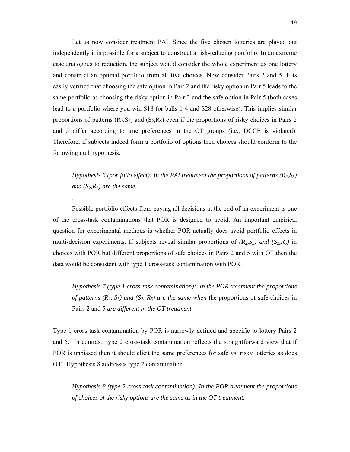Let us now consider treatment PAI. Since the five chosen lotteries are played out independently it is possible for a subject to construct a risk-reducing portfolio. In an extreme case analogous to reduction, the subject would consider the whole experiment as one lottery and construct an optimal portfolio from all five choices. Now consider Pairs 2 and 5. It is easily verified that choosing the safe option in Pair 2 and the risky option in Pair 5 leads to the same portfolio as choosing the risky option in Pair 2 and the safe option in Pair 5 (both cases lead to a portfolio where you win \$18 for balls 1-4 and \$28 otherwise). This implies similar proportions of patterns  $(R_2, S_5)$  and  $(S_2, R_5)$  even if the proportions of risky choices in Pairs 2 and 5 differ according to true preferences in the OT groups (i.e., DCCE is violated). Therefore, if subjects indeed form a portfolio of options then choices should conform to the following null hypothesis.

*Hypothesis 6 (portfolio effect): In the PAI treatment the proportions of patterns (R2,S5)*  and  $(S_2, R_5)$  are the same.

 Possible portfolio effects from paying all decisions at the end of an experiment is one of the cross-task contaminations that POR is designed to avoid. An important empirical question for experimental methods is whether POR actually does avoid portfolio effects in multi-decision experiments. If subjects reveal similar proportions of  $(R_2, S_5)$  and  $(S_2, R_5)$  in choices with POR but different proportions of safe choices in Pairs 2 and 5 with OT then the data would be consistent with type 1 cross-task contamination with POR.

*.* 

*Hypothesis 7 (type 1 cross-task contamination): In the POR treatment the proportions of patterns (R<sub>2</sub>, S<sub>5</sub>) and (S<sub>2</sub>, R<sub>5</sub>) are the same when the proportions of safe choices in* Pairs 2 and 5 *are different in the OT treatment.* 

Type 1 cross-task contamination by POR is narrowly defined and specific to lottery Pairs 2 and 5. In contrast, type 2 cross-task contamination reflects the straightforward view that if POR is unbiased then it should elicit the same preferences for safe vs. risky lotteries as does OT. Hypothesis 8 addresses type 2 contamination.

*Hypothesis 8 (type 2 cross-task contamination): In the POR treatment the proportions of choices of the risky options are the same as in the OT treatment.*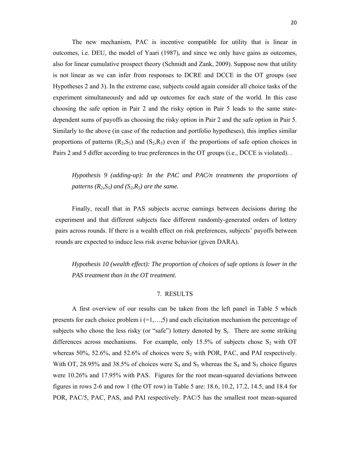The new mechanism, PAC is incentive compatible for utility that is linear in outcomes, i.e. DEU, the model of Yaari (1987), and since we only have gains as outcomes, also for linear cumulative prospect theory (Schmidt and Zank, 2009). Suppose now that utility is not linear as we can infer from responses to DCRE and DCCE in the OT groups (see Hypotheses 2 and 3). In the extreme case, subjects could again consider all choice tasks of the experiment simultaneously and add up outcomes for each state of the world. In this case choosing the safe option in Pair 2 and the risky option in Pair 5 leads to the same statedependent sums of payoffs as choosing the risky option in Pair 2 and the safe option in Pair 5. Similarly to the above (in case of the reduction and portfolio hypotheses), this implies similar proportions of patterns  $(R_2, S_5)$  and  $(S_2, R_5)$  even if the proportions of safe option choices in Pairs 2 and 5 differ according to true preferences in the OT groups (i.e., DCCE is violated). .

*Hypothesis 9 (adding-up): In the PAC and PAC/n treatments the proportions of patterns*  $(R_2, S_5)$  *and*  $(S_2, R_5)$  *are the same.* 

Finally, recall that in PAS subjects accrue earnings between decisions during the experiment and that different subjects face different randomly-generated orders of lottery pairs across rounds. If there is a wealth effect on risk preferences, subjects' payoffs between rounds are expected to induce less risk averse behavior (given DARA).

*Hypothesis 10 (wealth effect): The proportion of choices of safe options is lower in the PAS treatment than in the OT treatment.* 

#### 7. RESULTS

A first overview of our results can be taken from the left panel in Table 5 which presents for each choice problem i (=1,…,5) and each elicitation mechanism the percentage of subjects who chose the less risky (or "safe") lottery denoted by S<sub>i</sub>. There are some striking differences across mechanisms. For example, only 15.5% of subjects chose  $S_2$  with OT whereas 50%, 52.6%, and 52.6% of choices were  $S_2$  with POR, PAC, and PAI respectively. With OT, 28.95% and 38.5% of choices were  $S_4$  and  $S_5$  whereas the  $S_4$  and  $S_5$  choice figures were 10.26% and 17.95% with PAS. Figures for the root mean-squared deviations between figures in rows 2-6 and row 1 (the OT row) in Table 5 are: 18.6, 10.2, 17.2, 14.5, and 18.4 for POR, PAC/5, PAC, PAS, and PAI respectively. PAC/5 has the smallest root mean-squared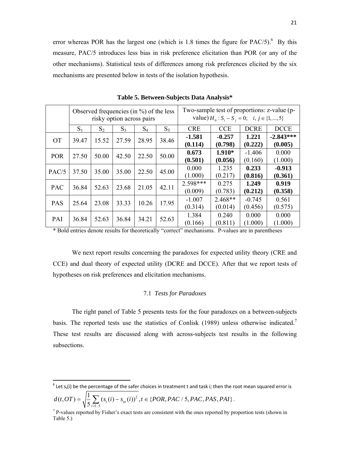error whereas POR has the largest one (which is 1.8 times the figure for  $PAC/5$ ).<sup>6</sup> By this measure, PAC/5 introduces less bias in risk preference elicitation than POR (or any of the other mechanisms). Statistical tests of differences among risk preferences elicited by the six mechanisms are presented below in tests of the isolation hypothesis.

|            |       |       |       | Observed frequencies (in $\%$ ) of the less<br>risky option across pairs |       | Two-sample test of proportions: z-value (p-<br>value) $H_0: S_i - S_j = 0; \quad i, j \in \{1, , 5\}$ |                      |                     |                        |  |
|------------|-------|-------|-------|--------------------------------------------------------------------------|-------|-------------------------------------------------------------------------------------------------------|----------------------|---------------------|------------------------|--|
|            | $S_1$ | $S_2$ | $S_3$ | $S_4$                                                                    | $S_5$ | <b>CRE</b>                                                                                            | <b>CCE</b>           | <b>DCRE</b>         | <b>DCCE</b>            |  |
| <b>OT</b>  | 39.47 | 15.52 | 27.59 | 28.95                                                                    | 38.46 | $-1.581$<br>(0.114)                                                                                   | $-0.257$<br>(0.798)  | 1.221<br>(0.222)    | $-2.843***$<br>(0.005) |  |
| <b>POR</b> | 27.50 | 50.00 | 42.50 | 22.50                                                                    | 50.00 | 0.673<br>(0.501)                                                                                      | $1.910*$<br>(0.056)  | $-1.406$<br>(0.160) | 0.000<br>(1.000)       |  |
| PAC/5      | 37.50 | 35.00 | 35.00 | 22.50                                                                    | 45.00 | 0.000<br>(1.000)                                                                                      | 1.235<br>(0.217)     | 0.233<br>(0.816)    | $-0.913$<br>(0.361)    |  |
| <b>PAC</b> | 36.84 | 52.63 | 23.68 | 21.05                                                                    | 42.11 | 2.598***<br>(0.009)                                                                                   | 0.275<br>(0.783)     | 1.249<br>(0.212)    | 0.919<br>(0.358)       |  |
| <b>PAS</b> | 25.64 | 23.08 | 33.33 | 10.26                                                                    | 17.95 | $-1.007$<br>(0.314)                                                                                   | $2.468**$<br>(0.014) | $-0.745$<br>(0.456) | 0.561<br>(0.575)       |  |
| PAI        | 36.84 | 52.63 | 36.84 | 34.21                                                                    | 52.63 | 1.384<br>(0.166)                                                                                      | 0.240<br>(0.811)     | 0.000<br>(1.000)    | 0.000<br>(1.000)       |  |

**Table 5. Between-Subjects Data Analysis\*** 

\* Bold entries denote results for theoretically "correct" mechanisms. P-values are in parentheses

We next report results concerning the paradoxes for expected utility theory (CRE and CCE) and dual theory of expected utility (DCRE and DCCE). After that we report tests of hypotheses on risk preferences and elicitation mechanisms.

#### 7.1 *Tests for Paradoxes*

The right panel of Table 5 presents tests for the four paradoxes on a between-subjects basis. The reported tests use the statistics of Conlisk (1989) unless otherwise indicated.<sup>7</sup> These test results are discussed along with across-subjects test results in the following subsections.

$$
d(t, OT) = \sqrt{\frac{1}{5} \sum_{i=1.5} (s_{i}(i) - s_{oi}(i))^{2}}, t \in \{ POR, PAC / 5, PAC, PAS, PAI\}.
$$

 $6$  Let s<sub>t</sub>(i) be the percentage of the safer choices in treatment t and task i; then the root mean squared error is 2

 $<sup>7</sup>$  P-values reported by Fisher's exact tests are consistent with the ones reported by proportion tests (shown in</sup> Table 5.)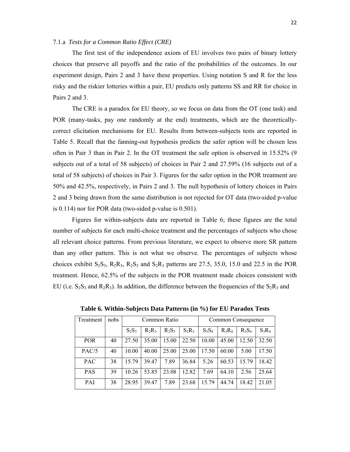#### 7.1.a *Tests for a Common Ratio Effect (CRE)*

The first test of the independence axiom of EU involves two pairs of binary lottery choices that preserve all payoffs and the ratio of the probabilities of the outcomes. In our experiment design, Pairs 2 and 3 have these properties. Using notation S and R for the less risky and the riskier lotteries within a pair, EU predicts only patterns SS and RR for choice in Pairs 2 and 3.

 The CRE is a paradox for EU theory, so we focus on data from the OT (one task) and POR (many-tasks, pay one randomly at the end) treatments, which are the theoreticallycorrect elicitation mechanisms for EU. Results from between-subjects tests are reported in Table 5. Recall that the fanning-out hypothesis predicts the safer option will be chosen less often in Pair 3 than in Pair 2. In the OT treatment the safe option is observed in 15.52% (9 subjects out of a total of 58 subjects) of choices in Pair 2 and 27.59% (16 subjects out of a total of 58 subjects) of choices in Pair 3. Figures for the safer option in the POR treatment are 50% and 42.5%, respectively, in Pairs 2 and 3. The null hypothesis of lottery choices in Pairs 2 and 3 being drawn from the same distribution is not rejected for OT data (two-sided p-value is 0.114) nor for POR data (two-sided p-value is 0.501).

 Figures for within-subjects data are reported in Table 6; these figures are the total number of subjects for each multi-choice treatment and the percentages of subjects who chose all relevant choice patterns. From previous literature, we expect to observe more SR pattern than any other pattern. This is not what we observe. The percentages of subjects whose choices exhibit  $S_2S_3$ ,  $R_2R_3$ ,  $R_2S_3$  and  $S_2R_3$  patterns are 27.5, 35.0, 15.0 and 22.5 in the POR treatment. Hence, 62.5% of the subjects in the POR treatment made choices consistent with EU (i.e.  $S_2S_3$  and  $R_2R_3$ ). In addition, the difference between the frequencies of the  $S_2R_3$  and

| Treatment  | nobs |          |          | Common Ratio |          |          | Common Consequence |          |          |  |
|------------|------|----------|----------|--------------|----------|----------|--------------------|----------|----------|--|
|            |      | $S_2S_3$ | $R_2R_3$ | $R_2S_3$     | $S_2R_3$ | $S_3S_4$ | $R_3R_4$           | $R_3S_4$ | $S_3R_4$ |  |
| <b>POR</b> | 40   | 27.50    | 35.00    | 15.00        | 22.50    | 10.00    | 45.00              | 12.50    | 32.50    |  |
| PAC/5      | 40   | 10.00    | 40.00    | 25.00        | 25.00    | 17.50    | 60.00              | 5.00     | 17.50    |  |
| <b>PAC</b> | 38   | 1579     | 39.47    | 7.89         | 36.84    | 5.26     | 60.53              | 15.79    | 18.42    |  |
| <b>PAS</b> | 39   | 10.26    | 53.85    | 23.08        | 12.82    | 7.69     | 64.10              | 2.56     | 25.64    |  |
| PAI        | 38   | 28.95    | 39.47    | 7.89         | 23.68    | 15.79    | 44.74              | 18.42    | 21 05    |  |

 **Table 6. Within-Subjects Data Patterns (in %) for EU Paradox Tests**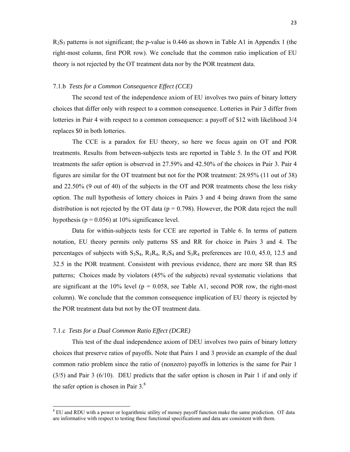$R_2S_3$  patterns is not significant; the p-value is 0.446 as shown in Table A1 in Appendix 1 (the right-most column, first POR row). We conclude that the common ratio implication of EU theory is not rejected by the OT treatment data nor by the POR treatment data.

#### 7.1.b *Tests for a Common Consequence Effect (CCE)*

The second test of the independence axiom of EU involves two pairs of binary lottery choices that differ only with respect to a common consequence. Lotteries in Pair 3 differ from lotteries in Pair 4 with respect to a common consequence: a payoff of \$12 with likelihood 3/4 replaces \$0 in both lotteries.

The CCE is a paradox for EU theory, so here we focus again on OT and POR treatments. Results from between-subjects tests are reported in Table 5. In the OT and POR treatments the safer option is observed in 27.59% and 42.50% of the choices in Pair 3. Pair 4 figures are similar for the OT treatment but not for the POR treatment: 28.95% (11 out of 38) and 22.50% (9 out of 40) of the subjects in the OT and POR treatments chose the less risky option. The null hypothesis of lottery choices in Pairs 3 and 4 being drawn from the same distribution is not rejected by the OT data ( $p = 0.798$ ). However, the POR data reject the null hypothesis ( $p = 0.056$ ) at 10% significance level.

Data for within-subjects tests for CCE are reported in Table 6. In terms of pattern notation, EU theory permits only patterns SS and RR for choice in Pairs 3 and 4. The percentages of subjects with  $S_3S_4$ ,  $R_3R_4$ ,  $R_3S_4$  and  $S_3R_4$  preferences are 10.0, 45.0, 12.5 and 32.5 in the POR treatment. Consistent with previous evidence, there are more SR than RS patterns; Choices made by violators (45% of the subjects) reveal systematic violations that are significant at the  $10\%$  level (p = 0.058, see Table A1, second POR row, the right-most column). We conclude that the common consequence implication of EU theory is rejected by the POR treatment data but not by the OT treatment data.

#### 7.1.c *Tests for a Dual Common Ratio Effect (DCRE)*

This test of the dual independence axiom of DEU involves two pairs of binary lottery choices that preserve ratios of payoffs. Note that Pairs 1 and 3 provide an example of the dual common ratio problem since the ratio of (nonzero) payoffs in lotteries is the same for Pair 1 (3/5) and Pair 3 (6/10). DEU predicts that the safer option is chosen in Pair 1 if and only if the safer option is chosen in Pair  $3.8$ 

<sup>&</sup>lt;sup>8</sup> EU and RDU with a power or logarithmic utility of money payoff function make the same prediction. OT data are informative with respect to testing these functional specifications and data are consistent with them.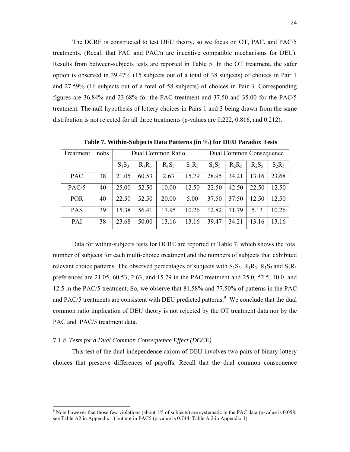The DCRE is constructed to test DEU theory, so we focus on OT, PAC, and PAC/5 treatments. (Recall that PAC and PAC/n are incentive compatible mechanisms for DEU). Results from between-subjects tests are reported in Table 5. In the OT treatment, the safer option is observed in 39.47% (15 subjects out of a total of 38 subjects) of choices in Pair 1 and 27.59% (16 subjects out of a total of 58 subjects) of choices in Pair 3. Corresponding figures are 36.84% and 23.68% for the PAC treatment and 37.50 and 35.00 for the PAC/5 treatment. The null hypothesis of lottery choices in Pairs 1 and 3 being drawn from the same distribution is not rejected for all three treatments (p-values are 0.222, 0.816, and 0.212).

| Treatment  | nobs |          |          | Dual Common Ratio |          | Dual Common Consequence |          |          |          |  |
|------------|------|----------|----------|-------------------|----------|-------------------------|----------|----------|----------|--|
|            |      | $S_1S_3$ | $R_1R_3$ | $R_1S_3$          | $S_1R_3$ | $S_2S_5$                | $R_2R_5$ | $R_2S_5$ | $S_2R_5$ |  |
| <b>PAC</b> | 38   | 21.05    | 60.53    | 2.63              | 15.79    | 28.95                   | 34.21    | 13.16    | 23.68    |  |
| PAC/5      | 40   | 25.00    | 52.50    | 10.00             | 12.50    | 22.50                   | 42.50    | 22.50    | 12.50    |  |
| <b>POR</b> | 40   | 22.50    | 52.50    | 20.00             | 5.00     | 37.50                   | 37.50    | 12.50    | 12.50    |  |
| <b>PAS</b> | 39   | 15.38    | 56.41    | 17.95             | 10.26    | 12.82                   | 71.79    | 5.13     | 10.26    |  |
| PAI        | 38   | 23.68    | 50.00    | 13.16             | 13.16    | 39.47                   | 34.21    | 13.16    | 13.16    |  |

 **Table 7. Within-Subjects Data Patterns (in %) for DEU Paradox Tests**

Data for within-subjects tests for DCRE are reported in Table 7, which shows the total number of subjects for each multi-choice treatment and the numbers of subjects that exhibited relevant choice patterns. The observed percentages of subjects with  $S_1S_3$ ,  $R_1R_3$ ,  $R_1S_3$  and  $S_1R_3$ preferences are 21.05, 60.53, 2.63, and 15.79 in the PAC treatment and 25.0, 52.5, 10.0, and 12.5 in the PAC/5 treatment. So, we observe that 81.58% and 77.50% of patterns in the PAC and PAC/5 treatments are consistent with DEU predicted patterns.<sup>9</sup> We conclude that the dual common ratio implication of DEU theory is not rejected by the OT treatment data nor by the PAC and PAC/5 treatment data.

#### 7.1.d *Tests for a Dual Common Consequence Effect (DCCE)*

This test of the dual independence axiom of DEU involves two pairs of binary lottery choices that preserve differences of payoffs. Recall that the dual common consequence

<sup>&</sup>lt;sup>9</sup> Note however that those few violations (about  $1/5$  of subjects) are systematic in the PAC data (p-value is  $0.058$ ; see Table A2 in Appendix 1) but not in PAC5 (p-value is 0.744; Table A.2 in Appendix 1).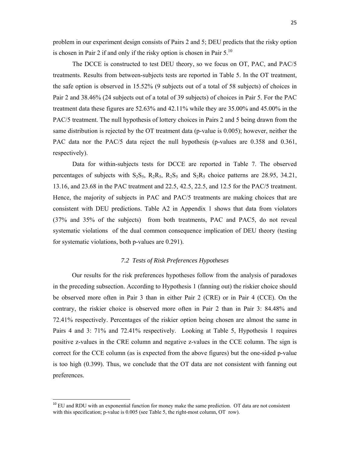problem in our experiment design consists of Pairs 2 and 5; DEU predicts that the risky option is chosen in Pair 2 if and only if the risky option is chosen in Pair  $5^{10}$ .

The DCCE is constructed to test DEU theory, so we focus on OT, PAC, and PAC/5 treatments. Results from between-subjects tests are reported in Table 5. In the OT treatment, the safe option is observed in 15.52% (9 subjects out of a total of 58 subjects) of choices in Pair 2 and 38.46% (24 subjects out of a total of 39 subjects) of choices in Pair 5. For the PAC treatment data these figures are 52.63% and 42.11% while they are 35.00% and 45.00% in the PAC/5 treatment. The null hypothesis of lottery choices in Pairs 2 and 5 being drawn from the same distribution is rejected by the OT treatment data (p-value is 0.005); however, neither the PAC data nor the PAC/5 data reject the null hypothesis (p-values are 0.358 and 0.361, respectively).

Data for within-subjects tests for DCCE are reported in Table 7. The observed percentages of subjects with  $S_2S_5$ ,  $R_2R_5$ ,  $R_2S_5$  and  $S_2R_5$  choice patterns are 28.95, 34.21, 13.16, and 23.68 in the PAC treatment and 22.5, 42.5, 22.5, and 12.5 for the PAC/5 treatment. Hence, the majority of subjects in PAC and PAC/5 treatments are making choices that are consistent with DEU predictions. Table A2 in Appendix 1 shows that data from violators (37% and 35% of the subjects) from both treatments, PAC and PAC5, do not reveal systematic violations of the dual common consequence implication of DEU theory (testing for systematic violations, both p-values are 0.291).

# *7.2 Tests of Risk Preferences Hypotheses*

Our results for the risk preferences hypotheses follow from the analysis of paradoxes in the preceding subsection. According to Hypothesis 1 (fanning out) the riskier choice should be observed more often in Pair 3 than in either Pair 2 (CRE) or in Pair 4 (CCE). On the contrary, the riskier choice is observed more often in Pair 2 than in Pair 3: 84.48% and 72.41% respectively. Percentages of the riskier option being chosen are almost the same in Pairs 4 and 3: 71% and 72.41% respectively. Looking at Table 5, Hypothesis 1 requires positive z-values in the CRE column and negative z-values in the CCE column. The sign is correct for the CCE column (as is expected from the above figures) but the one-sided p-value is too high (0.399). Thus, we conclude that the OT data are not consistent with fanning out preferences.

<sup>&</sup>lt;sup>10</sup> EU and RDU with an exponential function for money make the same prediction. OT data are not consistent with this specification; p-value is 0.005 (see Table 5, the right-most column, OT row).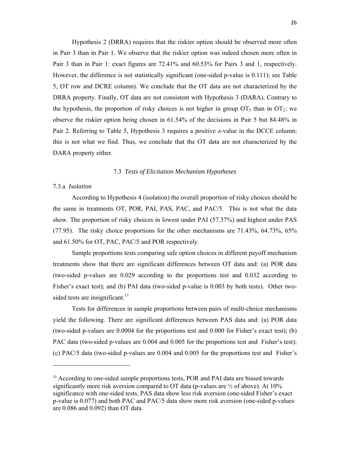Hypothesis 2 (DRRA) requires that the riskier option should be observed more often in Pair 3 than in Pair 1. We observe that the riskier option was indeed chosen more often in Pair 3 than in Pair 1: exact figures are 72.41% and 60.53% for Pairs 3 and 1, respectively. However, the difference is not statistically significant (one-sided p-value is 0.111); see Table 5, OT row and DCRE column). We conclude that the OT data are not characterized by the DRRA property. Finally, OT data are not consistent with Hypothesis 3 (DARA). Contrary to the hypothesis, the proportion of risky choices is not higher in group  $OT_5$  than in  $OT_2$ : we observe the riskier option being chosen in 61.54% of the decisions in Pair 5 but 84.48% in Pair 2. Referring to Table 5, Hypothesis 3 requires a positive z-value in the DCCE column; this is not what we find. Thus, we conclude that the OT data are not characterized by the DARA property either.

#### 7.3 *Tests of Elicitation Mechanism Hypotheses*

# 7.3.a *Isolation*

According to Hypothesis 4 (isolation) the overall proportion of risky choices should be the same in treatments OT, POR, PAI, PAS, PAC, and PAC/5. This is not what the data show. The proportion of risky choices in lowest under PAI (57.37%) and highest under PAS (77.95). The risky choice proportions for the other mechanisms are 71.43%, 64.73%, 65% and 61.50% for OT, PAC, PAC/5 and POR respectively.

Sample proportions tests comparing safe option choices in different payoff mechanism treatments show that there are significant differences between OT data and: (a) POR data (two-sided p-values are 0.029 according to the proportions test and 0.032 according to Fisher's exact test); and (b) PAI data (two-sided p-value is 0.003 by both tests). Other twosided tests are insignificant. $11$ 

Tests for differences in sample proportions between pairs of multi-choice mechanisms yield the following. There are significant differences between PAS data and: (a) POR data (two-sided p-values are 0.0004 for the proportions test and 0.000 for Fisher's exact test); (b) PAC data (two-sided p-values are 0.004 and 0.005 for the proportions test and Fisher's test); (c) PAC/5 data (two-sided p-values are 0.004 and 0.005 for the proportions test and Fisher's

<sup>&</sup>lt;sup>11</sup> According to one-sided sample proportions tests, POR and PAI data are biased towards significantly more risk aversion compared to OT data (p-values are ½ of above). At 10% significance with one-sided tests, PAS data show less risk aversion (one-sided Fisher's exact p-value is 0.077) and both PAC and PAC/5 data show more risk aversion (one-sided p-values are 0.086 and 0.092) than OT data.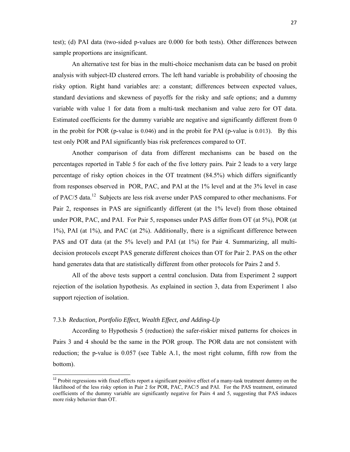test); (d) PAI data (two-sided p-values are 0.000 for both tests). Other differences between sample proportions are insignificant.

An alternative test for bias in the multi-choice mechanism data can be based on probit analysis with subject-ID clustered errors. The left hand variable is probability of choosing the risky option. Right hand variables are: a constant; differences between expected values, standard deviations and skewness of payoffs for the risky and safe options; and a dummy variable with value 1 for data from a multi-task mechanism and value zero for OT data. Estimated coefficients for the dummy variable are negative and significantly different from 0 in the probit for POR (p-value is 0.046) and in the probit for PAI (p-value is 0.013). By this test only POR and PAI significantly bias risk preferences compared to OT.

Another comparison of data from different mechanisms can be based on the percentages reported in Table 5 for each of the five lottery pairs. Pair 2 leads to a very large percentage of risky option choices in the OT treatment (84.5%) which differs significantly from responses observed in POR, PAC, and PAI at the 1% level and at the 3% level in case of PAC/5 data.12 Subjects are less risk averse under PAS compared to other mechanisms. For Pair 2, responses in PAS are significantly different (at the 1% level) from those obtained under POR, PAC, and PAI. For Pair 5, responses under PAS differ from OT (at 5%), POR (at 1%), PAI (at 1%), and PAC (at 2%). Additionally, there is a significant difference between PAS and OT data (at the 5% level) and PAI (at 1%) for Pair 4. Summarizing, all multidecision protocols except PAS generate different choices than OT for Pair 2. PAS on the other hand generates data that are statistically different from other protocols for Pairs 2 and 5.

All of the above tests support a central conclusion. Data from Experiment 2 support rejection of the isolation hypothesis. As explained in section 3, data from Experiment 1 also support rejection of isolation.

# 7.3.b *Reduction, Portfolio Effect, Wealth Effect, and Adding-Up*

According to Hypothesis 5 (reduction) the safer-riskier mixed patterns for choices in Pairs 3 and 4 should be the same in the POR group. The POR data are not consistent with reduction; the p-value is 0.057 (see Table A.1, the most right column, fifth row from the bottom).

<sup>&</sup>lt;sup>12</sup> Probit regressions with fixed effects report a significant positive effect of a many-task treatment dummy on the likelihood of the less risky option in Pair 2 for POR, PAC, PAC/5 and PAI. For the PAS treatment, estimated coefficients of the dummy variable are significantly negative for Pairs 4 and 5, suggesting that PAS induces more risky behavior than OT.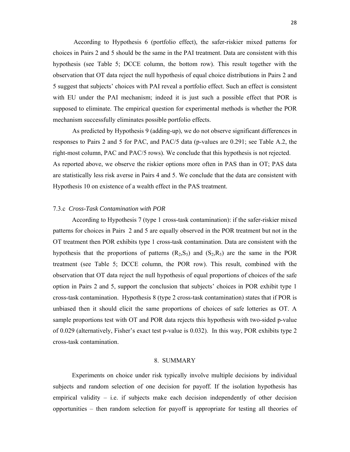According to Hypothesis 6 (portfolio effect), the safer-riskier mixed patterns for choices in Pairs 2 and 5 should be the same in the PAI treatment. Data are consistent with this hypothesis (see Table 5; DCCE column, the bottom row). This result together with the observation that OT data reject the null hypothesis of equal choice distributions in Pairs 2 and 5 suggest that subjects' choices with PAI reveal a portfolio effect. Such an effect is consistent with EU under the PAI mechanism; indeed it is just such a possible effect that POR is supposed to eliminate. The empirical question for experimental methods is whether the POR mechanism successfully eliminates possible portfolio effects.

As predicted by Hypothesis 9 (adding-up), we do not observe significant differences in responses to Pairs 2 and 5 for PAC, and PAC/5 data (p-values are 0.291; see Table A.2, the right-most column, PAC and PAC/5 rows). We conclude that this hypothesis is not rejected. As reported above, we observe the riskier options more often in PAS than in OT; PAS data are statistically less risk averse in Pairs 4 and 5. We conclude that the data are consistent with Hypothesis 10 on existence of a wealth effect in the PAS treatment.

# 7.3.c *Cross-Task Contamination with POR*

According to Hypothesis 7 (type 1 cross-task contamination): if the safer-riskier mixed patterns for choices in Pairs 2 and 5 are equally observed in the POR treatment but not in the OT treatment then POR exhibits type 1 cross-task contamination. Data are consistent with the hypothesis that the proportions of patterns  $(R_2, S_5)$  and  $(S_2, R_5)$  are the same in the POR treatment (see Table 5; DCCE column, the POR row). This result, combined with the observation that OT data reject the null hypothesis of equal proportions of choices of the safe option in Pairs 2 and 5, support the conclusion that subjects' choices in POR exhibit type 1 cross-task contamination. Hypothesis 8 (type 2 cross-task contamination) states that if POR is unbiased then it should elicit the same proportions of choices of safe lotteries as OT. A sample proportions test with OT and POR data rejects this hypothesis with two-sided p-value of 0.029 (alternatively, Fisher's exact test p-value is 0.032). In this way, POR exhibits type 2 cross-task contamination.

#### 8. SUMMARY

Experiments on choice under risk typically involve multiple decisions by individual subjects and random selection of one decision for payoff. If the isolation hypothesis has empirical validity  $-$  i.e. if subjects make each decision independently of other decision opportunities – then random selection for payoff is appropriate for testing all theories of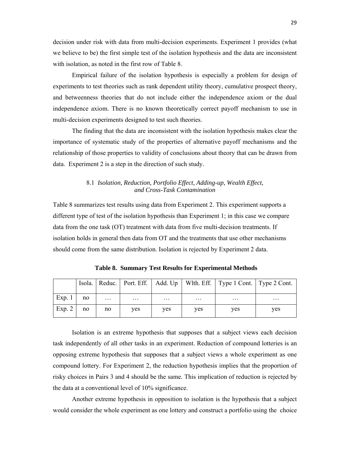decision under risk with data from multi-decision experiments. Experiment 1 provides (what we believe to be) the first simple test of the isolation hypothesis and the data are inconsistent with isolation, as noted in the first row of Table 8.

Empirical failure of the isolation hypothesis is especially a problem for design of experiments to test theories such as rank dependent utility theory, cumulative prospect theory, and betweenness theories that do not include either the independence axiom or the dual independence axiom. There is no known theoretically correct payoff mechanism to use in multi-decision experiments designed to test such theories.

 The finding that the data are inconsistent with the isolation hypothesis makes clear the importance of systematic study of the properties of alternative payoff mechanisms and the relationship of those properties to validity of conclusions about theory that can be drawn from data. Experiment 2 is a step in the direction of such study.

# 8.1 *Isolation, Reduction, Portfolio Effect, Adding-up, Wealth Effect, and Cross-Task Contamination*

Table 8 summarizes test results using data from Experiment 2. This experiment supports a different type of test of the isolation hypothesis than Experiment 1; in this case we compare data from the one task (OT) treatment with data from five multi-decision treatments. If isolation holds in general then data from OT and the treatments that use other mechanisms should come from the same distribution. Isolation is rejected by Experiment 2 data.

|        |    |          |         |            |          | Isola.   Reduc.   Port. Eff.   Add. Up   Wlth. Eff.   Type 1 Cont.   Type 2 Cont. |          |
|--------|----|----------|---------|------------|----------|-----------------------------------------------------------------------------------|----------|
| Exp. 1 | no | $\cdots$ | $\cdot$ | $\cdots$   | $\cdots$ | $\cdots$                                                                          | $\cdots$ |
| Exp. 2 | no | no       | yes     | <b>ves</b> | yes      | yes                                                                               | ves      |

 **Table 8. Summary Test Results for Experimental Methods** 

Isolation is an extreme hypothesis that supposes that a subject views each decision task independently of all other tasks in an experiment. Reduction of compound lotteries is an opposing extreme hypothesis that supposes that a subject views a whole experiment as one compound lottery. For Experiment 2, the reduction hypothesis implies that the proportion of risky choices in Pairs 3 and 4 should be the same. This implication of reduction is rejected by the data at a conventional level of 10% significance.

Another extreme hypothesis in opposition to isolation is the hypothesis that a subject would consider the whole experiment as one lottery and construct a portfolio using the choice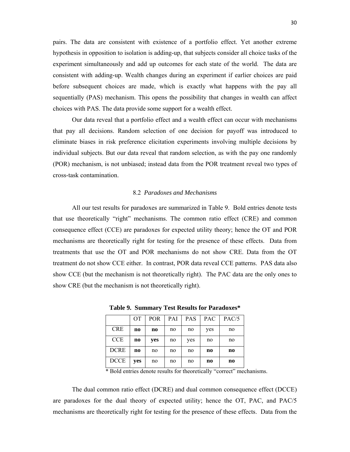pairs. The data are consistent with existence of a portfolio effect. Yet another extreme hypothesis in opposition to isolation is adding-up, that subjects consider all choice tasks of the experiment simultaneously and add up outcomes for each state of the world. The data are consistent with adding-up. Wealth changes during an experiment if earlier choices are paid before subsequent choices are made, which is exactly what happens with the pay all sequentially (PAS) mechanism. This opens the possibility that changes in wealth can affect choices with PAS. The data provide some support for a wealth effect.

Our data reveal that a portfolio effect and a wealth effect can occur with mechanisms that pay all decisions. Random selection of one decision for payoff was introduced to eliminate biases in risk preference elicitation experiments involving multiple decisions by individual subjects. But our data reveal that random selection, as with the pay one randomly (POR) mechanism, is not unbiased; instead data from the POR treatment reveal two types of cross-task contamination.

#### 8.2 *Paradoxes and Mechanisms*

All our test results for paradoxes are summarized in Table 9. Bold entries denote tests that use theoretically "right" mechanisms. The common ratio effect (CRE) and common consequence effect (CCE) are paradoxes for expected utility theory; hence the OT and POR mechanisms are theoretically right for testing for the presence of these effects. Data from treatments that use the OT and POR mechanisms do not show CRE. Data from the OT treatment do not show CCE either. In contrast, POR data reveal CCE patterns. PAS data also show CCE (but the mechanism is not theoretically right). The PAC data are the only ones to show CRE (but the mechanism is not theoretically right).

|             | <b>OT</b> | <b>POR</b> | PAI | <b>PAS</b> | <b>PAC</b> | PAC/5          |
|-------------|-----------|------------|-----|------------|------------|----------------|
| <b>CRE</b>  | n0        | no         | no  | no         | yes        | no             |
| <b>CCE</b>  | n0        | yes        | no  | yes        | no         | no             |
| <b>DCRE</b> | n0        | no         | no  | no         | n0         | n <sub>0</sub> |
| <b>DCCE</b> | yes       | no         | no  | no         | n0         | n <sub>0</sub> |

**Table 9. Summary Test Results for Paradoxes\*** 

\* Bold entries denote results for theoretically "correct" mechanisms.

The dual common ratio effect (DCRE) and dual common consequence effect (DCCE) are paradoxes for the dual theory of expected utility; hence the OT, PAC, and PAC/5 mechanisms are theoretically right for testing for the presence of these effects. Data from the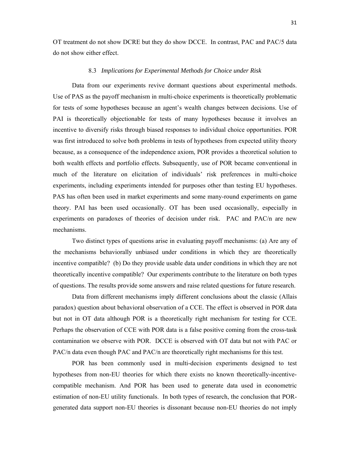OT treatment do not show DCRE but they do show DCCE. In contrast, PAC and PAC/5 data do not show either effect.

#### 8.3 *Implications for Experimental Methods for Choice under Risk*

Data from our experiments revive dormant questions about experimental methods. Use of PAS as the payoff mechanism in multi-choice experiments is theoretically problematic for tests of some hypotheses because an agent's wealth changes between decisions. Use of PAI is theoretically objectionable for tests of many hypotheses because it involves an incentive to diversify risks through biased responses to individual choice opportunities. POR was first introduced to solve both problems in tests of hypotheses from expected utility theory because, as a consequence of the independence axiom, POR provides a theoretical solution to both wealth effects and portfolio effects. Subsequently, use of POR became conventional in much of the literature on elicitation of individuals' risk preferences in multi-choice experiments, including experiments intended for purposes other than testing EU hypotheses. PAS has often been used in market experiments and some many-round experiments on game theory. PAI has been used occasionally. OT has been used occasionally, especially in experiments on paradoxes of theories of decision under risk. PAC and PAC/n are new mechanisms.

Two distinct types of questions arise in evaluating payoff mechanisms: (a) Are any of the mechanisms behaviorally unbiased under conditions in which they are theoretically incentive compatible? (b) Do they provide usable data under conditions in which they are not theoretically incentive compatible? Our experiments contribute to the literature on both types of questions. The results provide some answers and raise related questions for future research.

Data from different mechanisms imply different conclusions about the classic (Allais paradox) question about behavioral observation of a CCE. The effect is observed in POR data but not in OT data although POR is a theoretically right mechanism for testing for CCE. Perhaps the observation of CCE with POR data is a false positive coming from the cross-task contamination we observe with POR. DCCE is observed with OT data but not with PAC or PAC/n data even though PAC and PAC/n are theoretically right mechanisms for this test.

POR has been commonly used in multi-decision experiments designed to test hypotheses from non-EU theories for which there exists no known theoretically-incentivecompatible mechanism. And POR has been used to generate data used in econometric estimation of non-EU utility functionals. In both types of research, the conclusion that PORgenerated data support non-EU theories is dissonant because non-EU theories do not imply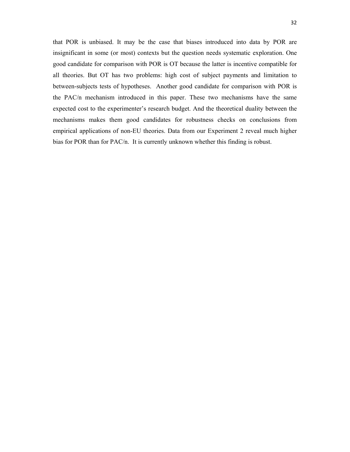that POR is unbiased. It may be the case that biases introduced into data by POR are insignificant in some (or most) contexts but the question needs systematic exploration. One good candidate for comparison with POR is OT because the latter is incentive compatible for all theories. But OT has two problems: high cost of subject payments and limitation to between-subjects tests of hypotheses. Another good candidate for comparison with POR is the PAC/n mechanism introduced in this paper. These two mechanisms have the same expected cost to the experimenter's research budget. And the theoretical duality between the mechanisms makes them good candidates for robustness checks on conclusions from empirical applications of non-EU theories. Data from our Experiment 2 reveal much higher bias for POR than for PAC/n. It is currently unknown whether this finding is robust.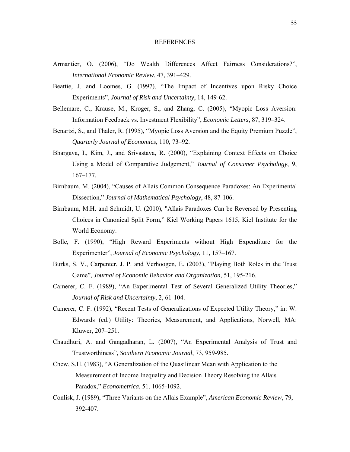#### REFERENCES

- Armantier, O. (2006), "Do Wealth Differences Affect Fairness Considerations?", *International Economic Review*, 47, 391–429.
- Beattie, J. and Loomes, G. (1997), "The Impact of Incentives upon Risky Choice Experiments", *Journal of Risk and Uncertainty*, 14, 149-62.
- Bellemare, C., Krause, M., Kroger, S., and Zhang, C. (2005), "Myopic Loss Aversion: Information Feedback vs. Investment Flexibility", *Economic Letters*, 87, 319–324.
- Benartzi, S., and Thaler, R. (1995), "Myopic Loss Aversion and the Equity Premium Puzzle", *Quarterly Journal of Economics*, 110, 73–92.
- Bhargava, I., Kim, J., and Srivastava, R. (2000), "Explaining Context Effects on Choice Using a Model of Comparative Judgement," *Journal of Consumer Psychology*, 9, 167–177.
- Birnbaum, M. (2004), "Causes of Allais Common Consequence Paradoxes: An Experimental Dissection," *Journal of Mathematical Psychology*, 48, 87-106.
- Birnbaum, M.H. and Schmidt, U. (2010), "Allais Paradoxes Can be Reversed by Presenting Choices in Canonical Split Form," Kiel Working Papers 1615, Kiel Institute for the World Economy.
- Bolle, F. (1990), "High Reward Experiments without High Expenditure for the Experimenter", *Journal of Economic Psychology*, 11, 157–167.
- Burks, S. V., Carpenter, J. P. and Verhoogen, E. (2003), "Playing Both Roles in the Trust Game", *Journal of Economic Behavior and Organization*, 51, 195-216.
- Camerer, C. F. (1989), "An Experimental Test of Several Generalized Utility Theories," *Journal of Risk and Uncertainty*, 2, 61-104.
- Camerer, C. F. (1992), "Recent Tests of Generalizations of Expected Utility Theory," in: W. Edwards (ed.) Utility: Theories, Measurement, and Applications, Norwell, MA: Kluwer, 207–251.
- Chaudhuri, A. and Gangadharan, L. (2007), "An Experimental Analysis of Trust and Trustworthiness", *Southern Economic Journal*, 73, 959-985.
- Chew, S.H. (1983), "A Generalization of the Quasilinear Mean with Application to the Measurement of Income Inequality and Decision Theory Resolving the Allais Paradox," *Econometrica,* 51, 1065-1092.
- Conlisk, J. (1989), "Three Variants on the Allais Example", *American Economic Review*, 79, 392-407.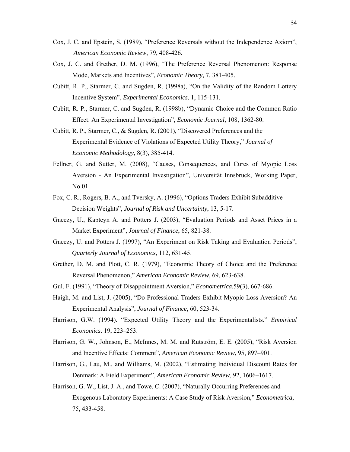- Cox, J. C. and Epstein, S. (1989), "Preference Reversals without the Independence Axiom", *American Economic Review*, 79, 408-426.
- Cox, J. C. and Grether, D. M. (1996), "The Preference Reversal Phenomenon: Response Mode, Markets and Incentives", *Economic Theory,* 7, 381-405.
- Cubitt, R. P., Starmer, C. and Sugden, R. (1998a), "On the Validity of the Random Lottery Incentive System", *Experimental Economics*, 1, 115-131.
- Cubitt, R. P., Starmer, C. and Sugden, R. (1998b), "Dynamic Choice and the Common Ratio Effect: An Experimental Investigation", *Economic Journal*, 108, 1362-80.
- Cubitt, R. P., Starmer, C., & Sugden, R. (2001), "Discovered Preferences and the Experimental Evidence of Violations of Expected Utility Theory," *Journal of Economic Methodology*, 8(3), 385-414.
- Fellner, G. and Sutter, M. (2008), "Causes, Consequences, and Cures of Myopic Loss Aversion - An Experimental Investigation", Universität Innsbruck, Working Paper, No.01.
- Fox, C. R., Rogers, B. A., and Tversky, A. (1996), "Options Traders Exhibit Subadditive Decision Weights", *Journal of Risk and Uncertainty*, 13, 5-17.
- Gneezy, U., Kapteyn A. and Potters J. (2003), "Evaluation Periods and Asset Prices in a Market Experiment", *Journal of Finance*, 65, 821-38.
- Gneezy, U. and Potters J. (1997), "An Experiment on Risk Taking and Evaluation Periods", *Quarterly Journal of Economics*, 112, 631-45.
- Grether, D. M. and Plott, C. R. (1979), "Economic Theory of Choice and the Preference Reversal Phenomenon," *American Economic Review*, 69, 623-638.
- Gul, F. (1991), "Theory of Disappointment Aversion," *Econometrica,*59(3), 667-686.
- Haigh, M. and List, J. (2005), "Do Professional Traders Exhibit Myopic Loss Aversion? An Experimental Analysis", *Journal of Finance*, 60, 523-34.
- Harrison, G.W. (1994). "Expected Utility Theory and the Experimentalists." *Empirical Economics*. 19, 223–253.
- Harrison, G. W., Johnson, E., McInnes, M. M. and Rutström, E. E. (2005), "Risk Aversion and Incentive Effects: Comment", *American Economic Review*, 95, 897–901.
- Harrison, G., Lau, M., and Williams, M. (2002), "Estimating Individual Discount Rates for Denmark: A Field Experiment", *American Economic Review*, 92, 1606–1617.
- Harrison, G. W., List, J. A., and Towe, C. (2007), "Naturally Occurring Preferences and Exogenous Laboratory Experiments: A Case Study of Risk Aversion," *Econometrica*, 75, 433-458.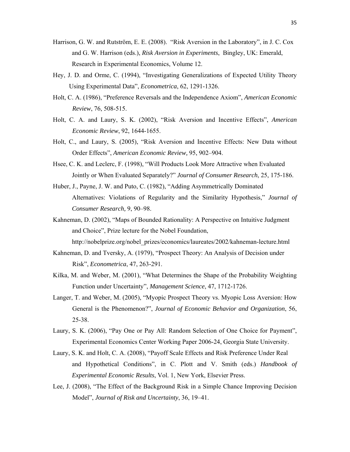- Harrison, G. W. and Rutström, E. E. (2008). "Risk Aversion in the Laboratory", in J. C. Cox and G. W. Harrison (eds.), *Risk Aversion in Experiments*, Bingley, UK: Emerald, Research in Experimental Economics, Volume 12.
- Hey, J. D. and Orme, C. (1994), "Investigating Generalizations of Expected Utility Theory Using Experimental Data", *Econometrica*, 62, 1291-1326.
- Holt, C. A. (1986), "Preference Reversals and the Independence Axiom", *American Economic Review*, 76, 508-515.
- Holt, C. A. and Laury, S. K. (2002), "Risk Aversion and Incentive Effects", *American Economic Review*, 92, 1644-1655.
- Holt, C., and Laury, S. (2005), "Risk Aversion and Incentive Effects: New Data without Order Effects", *American Economic Review,* 95, 902–904.
- Hsee, C. K. and Leclerc, F. (1998), "Will Products Look More Attractive when Evaluated Jointly or When Evaluated Separately?" *Journal of Consumer Research*, 25, 175-186.
- Huber, J., Payne, J. W. and Puto, C. (1982), "Adding Asymmetrically Dominated Alternatives: Violations of Regularity and the Similarity Hypothesis," *Journal of Consumer Research,* 9, 90–98.
- Kahneman, D. (2002), "Maps of Bounded Rationality: A Perspective on Intuitive Judgment and Choice", Prize lecture for the Nobel Foundation,

http://nobelprize.org/nobel\_prizes/economics/laureates/2002/kahneman-lecture.html

- Kahneman, D. and Tversky, A. (1979), "Prospect Theory: An Analysis of Decision under Risk", *Econometrica*, 47, 263-291.
- Kilka, M. and Weber, M. (2001), "What Determines the Shape of the Probability Weighting Function under Uncertainty", *Management Science*, 47, 1712-1726.
- Langer, T. and Weber, M. (2005), "Myopic Prospect Theory vs. Myopic Loss Aversion: How General is the Phenomenon?", *Journal of Economic Behavior and Organization*, 56, 25-38.
- Laury, S. K. (2006), "Pay One or Pay All: Random Selection of One Choice for Payment", Experimental Economics Center Working Paper 2006-24, Georgia State University.
- Laury, S. K. and Holt, C. A. (2008), "Payoff Scale Effects and Risk Preference Under Real and Hypothetical Conditions", in C. Plott and V. Smith (eds.) *Handbook of Experimental Economic Results*, Vol. 1, New York, Elsevier Press.
- Lee, J. (2008), "The Effect of the Background Risk in a Simple Chance Improving Decision Model", *Journal of Risk and Uncertainty*, 36, 19–41.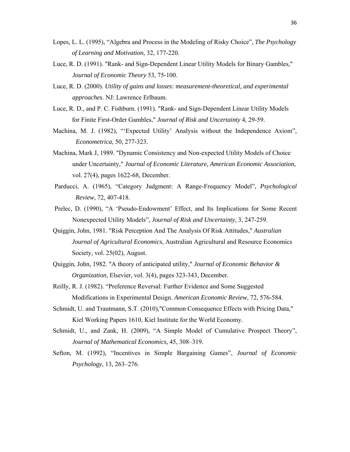- Lopes, L. L. (1995), "Algebra and Process in the Modeling of Risky Choice", *The Psychology of Learning and Motivation*, 32, 177-220.
- Luce, R. D. (1991). "Rank- and Sign-Dependent Linear Utility Models for Binary Gambles," *Journal of Economic Theory* 53, 75-100.
- Luce, R. D. (2000). *Utility of gains and losses: measurement-theoretical, and experimental approaches*. NJ: Lawrence Erlbaum.
- Luce, R. D., and P. C. Fishburn. (1991). "Rank- and Sign-Dependent Linear Utility Models for Finite First-Order Gambles," *Journal of Risk and Uncertainty* 4, 29-59.
- Machina, M. J. (1982), "'Expected Utility' Analysis without the Independence Axiom", *Econometrica*, 50, 277-323.
- Machina, Mark J, 1989. "Dynamic Consistency and Non-expected Utility Models of Choice under Uncertainty," *Journal of Economic Literature, American Economic Association*, vol. 27(4), pages 1622-68, December.
- Parducci, A. (1965), "Category Judgment: A Range-Frequency Model", *Psychological Review*, 72, 407-418.
- Prelec, D. (1990), "A 'Pseudo-Endowment' Effect, and Its Implications for Some Recent Nonexpected Utility Models", *Journal of Risk and Uncertainty*, 3, 247-259.
- Quiggin, John, 1981. "Risk Perception And The Analysis Of Risk Attitudes," *Australian Journal of Agricultural Economics*, Australian Agricultural and Resource Economics Society, vol. 25(02), August.
- Quiggin, John, 1982. "A theory of anticipated utility," *Journal of Economic Behavior & Organization*, Elsevier, vol. 3(4), pages 323-343, December.
- Reilly, R. J. (1982). "Preference Reversal: Further Evidence and Some Suggested Modifications in Experimental Design. *American Economic Review*, 72, 576-584.
- Schmidt, U. and Trautmann, S.T. (2010),"Common Consequence Effects with Pricing Data," Kiel Working Papers 1610, Kiel Institute for the World Economy.
- Schmidt, U., and Zank, H. (2009), "A Simple Model of Cumulative Prospect Theory", *Journal of Mathematical Economics,* 45, 308–319.
- Sefton, M. (1992), "Incentives in Simple Bargaining Games", *Journal of Economic Psychology*, 13, 263–276.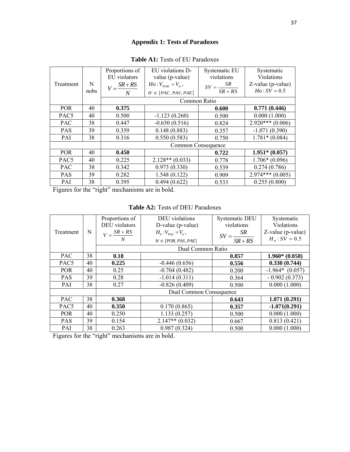# **Appendix 1: Tests of Paradoxes**

| Treatment        | N<br>nobs | Proportions of<br>EU violators<br>$SR + RS$<br>$V = \frac{2\pi}{\pi}$<br>N | EU violations D-<br>value (p-value)<br>$Ho: V_{poR} = V_{tr}$ ,<br>$tr \in \{PAC, PAS, PAE\}$ | Systematic EU<br>violations<br>$SV = \frac{SR}{\sqrt{SR}}$<br>$SR + RS$ | Systematic<br>Violations<br>Z-value (p-value)<br>$H_0$ : $SV = 0.5$ |
|------------------|-----------|----------------------------------------------------------------------------|-----------------------------------------------------------------------------------------------|-------------------------------------------------------------------------|---------------------------------------------------------------------|
|                  |           |                                                                            |                                                                                               | Common Ratio                                                            |                                                                     |
| <b>POR</b>       | 40        | 0.375                                                                      |                                                                                               | 0.600                                                                   | 0.771(0.446)                                                        |
| PAC <sub>5</sub> | 40        | 0.500                                                                      | $-1.123(0.260)$                                                                               | 0.500                                                                   | 0.000(1.000)                                                        |
| <b>PAC</b>       | 38        | 0.447                                                                      | $-0.650(0.516)$                                                                               | 0.824                                                                   | $2.920***(0.006)$                                                   |
| <b>PAS</b>       | 39        | 0.359                                                                      | 0.148(0.883)                                                                                  | 0.357                                                                   | $-1.071(0.390)$                                                     |
| PAI              | 38        | 0.316                                                                      | 0.550(0.583)                                                                                  | 0.750                                                                   | $1.781*(0.084)$                                                     |
|                  |           |                                                                            |                                                                                               | Common Consequence                                                      |                                                                     |
| <b>POR</b>       | 40        | 0.450                                                                      |                                                                                               | 0.722                                                                   | $1.951* (0.057)$                                                    |
| PAC <sub>5</sub> | 40        | 0.225                                                                      | $2.128**$ (0.033)                                                                             | 0.778                                                                   | $1.706*(0.096)$                                                     |
| <b>PAC</b>       | 38        | 0.342                                                                      | 0.973(0.330)                                                                                  | 0.539                                                                   | 0.274(0.786)                                                        |
| <b>PAS</b>       | 39        | 0.282                                                                      | 1.548(0.122)                                                                                  | 0.909                                                                   | $2.974***(0.005)$                                                   |
| PAI              | 38        | 0.395                                                                      | 0.494(0.622)                                                                                  | 0.533                                                                   | 0.255(0.800)                                                        |

# **Table A1:** Tests of EU Paradoxes

Figures for the "right" mechanisms are in bold.

| Treatment        | N  | Proportions of<br>DEU violators<br>$V = \frac{SR + RS}{2}$<br>N | DEU violations<br>D-value (p-value)<br>$H_0: V_{PAC} = V_{tr}$ ,<br>$tr \in \{FOR, PAS, PAE\}$ | <b>Systematic DEU</b><br>violations<br>$SV = \frac{SR}{SR + RS}$ | Systematic<br>Violations<br>Z-value (p-value)<br>$H_0$ : $SV = 0.5$ |
|------------------|----|-----------------------------------------------------------------|------------------------------------------------------------------------------------------------|------------------------------------------------------------------|---------------------------------------------------------------------|
|                  |    |                                                                 | Dual Common Ratio                                                                              |                                                                  |                                                                     |
| <b>PAC</b>       | 38 | 0.18                                                            |                                                                                                | 0.857                                                            | $1.960*(0.058)$                                                     |
| PAC <sub>5</sub> | 40 | 0.225                                                           | $-0.446(0.656)$                                                                                | 0.556                                                            | 0.330(0.744)                                                        |
| <b>POR</b>       | 40 | 0.25                                                            | $-0.704(0.482)$                                                                                | 0.200                                                            | $-1.964*$ (0.057)                                                   |
| <b>PAS</b>       | 39 | 0.28                                                            | $-1.014(0.311)$                                                                                | 0.364                                                            | $-0.902(0.373)$                                                     |
| PAI              | 38 | 0.27                                                            | $-0.826(0.409)$                                                                                | 0.500                                                            | 0.000(1.000)                                                        |
|                  |    |                                                                 | Dual Common Consequence                                                                        |                                                                  |                                                                     |
| <b>PAC</b>       | 38 | 0.368                                                           |                                                                                                | 0.643                                                            | 1.071(0.291)                                                        |
| PAC <sub>5</sub> | 40 | 0.350                                                           | 0.170(0.865)                                                                                   | 0.357                                                            | $-1.071(0.291)$                                                     |
| <b>POR</b>       | 40 | 0.250                                                           | 1.133(0.257)                                                                                   | 0.500                                                            | 0.000(1.000)                                                        |
| <b>PAS</b>       | 39 | 0.154                                                           | $2.147**$ (0.032)                                                                              | 0.667                                                            | 0.813(0.421)                                                        |
| PAI              | 38 | 0.263                                                           | 0.987(0.324)                                                                                   | 0.500                                                            | 0.000(1.000)                                                        |

Figures for the "right" mechanisms are in bold.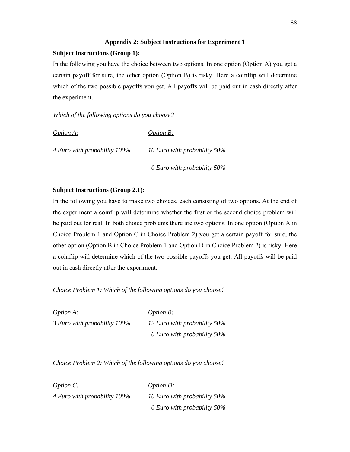#### **Appendix 2: Subject Instructions for Experiment 1**

# **Subject Instructions (Group 1):**

In the following you have the choice between two options. In one option (Option A) you get a certain payoff for sure, the other option (Option B) is risky. Here a coinflip will determine which of the two possible payoffs you get. All payoffs will be paid out in cash directly after the experiment.

*Which of the following options do you choose?* 

| <i>Option A:</i>             | <i>Option B:</i>               |
|------------------------------|--------------------------------|
| 4 Euro with probability 100% | 10 Euro with probability 50%   |
|                              | 0 Euro with probability $50\%$ |

# **Subject Instructions (Group 2.1):**

In the following you have to make two choices, each consisting of two options. At the end of the experiment a coinflip will determine whether the first or the second choice problem will be paid out for real. In both choice problems there are two options. In one option (Option A in Choice Problem 1 and Option C in Choice Problem 2) you get a certain payoff for sure, the other option (Option B in Choice Problem 1 and Option D in Choice Problem 2) is risky. Here a coinflip will determine which of the two possible payoffs you get. All payoffs will be paid out in cash directly after the experiment.

*Choice Problem 1: Which of the following options do you choose?* 

*Option A: Option B: 3 Euro with probability 100% 12 Euro with probability 50% 0 Euro with probability 50%* 

*Choice Problem 2: Which of the following options do you choose?* 

*Option C: Option D: 4 Euro with probability 100% 10 Euro with probability 50% 0 Euro with probability 50%*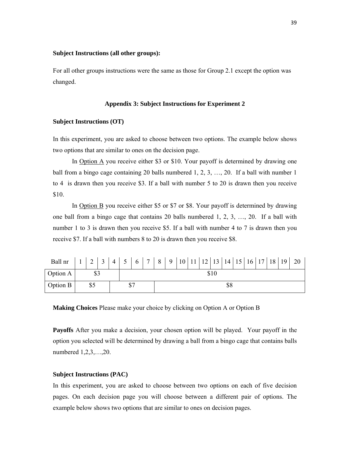#### **Subject Instructions (all other groups):**

For all other groups instructions were the same as those for Group 2.1 except the option was changed.

#### **Appendix 3: Subject Instructions for Experiment 2**

#### **Subject Instructions (OT)**

In this experiment, you are asked to choose between two options. The example below shows two options that are similar to ones on the decision page.

In **Option A** you receive either \$3 or \$10. Your payoff is determined by drawing one ball from a bingo cage containing 20 balls numbered 1, 2, 3, …, 20. If a ball with number 1 to 4 is drawn then you receive \$3. If a ball with number 5 to 20 is drawn then you receive \$10.

In Option B you receive either \$5 or \$7 or \$8. Your payoff is determined by drawing one ball from a bingo cage that contains 20 balls numbered 1, 2, 3, …, 20. If a ball with number 1 to 3 is drawn then you receive \$5. If a ball with number 4 to 7 is drawn then you receive \$7. If a ball with numbers 8 to 20 is drawn then you receive \$8.

| Ball nr   1   2   3   4   5   6   7   8   9   10   11   12   13   14   15   16   17   18   19   20 |  |  |  |  |  |  |  |  |  |  |  |  |  |  |  |  |  |
|----------------------------------------------------------------------------------------------------|--|--|--|--|--|--|--|--|--|--|--|--|--|--|--|--|--|
| Option A                                                                                           |  |  |  |  |  |  |  |  |  |  |  |  |  |  |  |  |  |
| Option B                                                                                           |  |  |  |  |  |  |  |  |  |  |  |  |  |  |  |  |  |

**Making Choices** Please make your choice by clicking on Option A or Option B

**Payoffs** After you make a decision, your chosen option will be played. Your payoff in the option you selected will be determined by drawing a ball from a bingo cage that contains balls numbered 1,2,3,…,20.

#### **Subject Instructions (PAC)**

In this experiment, you are asked to choose between two options on each of five decision pages. On each decision page you will choose between a different pair of options. The example below shows two options that are similar to ones on decision pages.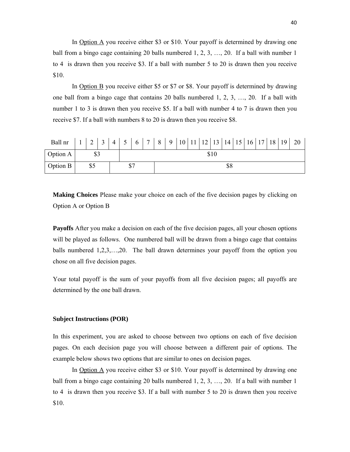In Option A you receive either \$3 or \$10. Your payoff is determined by drawing one ball from a bingo cage containing 20 balls numbered 1, 2, 3, …, 20. If a ball with number 1 to 4 is drawn then you receive \$3. If a ball with number 5 to 20 is drawn then you receive \$10.

In Option B you receive either \$5 or \$7 or \$8. Your payoff is determined by drawing one ball from a bingo cage that contains 20 balls numbered 1, 2, 3, …, 20. If a ball with number 1 to 3 is drawn then you receive \$5. If a ball with number 4 to 7 is drawn then you receive \$7. If a ball with numbers 8 to 20 is drawn then you receive \$8.

| Ball nr  |     | $\overline{4}$ | 5 <sup>1</sup> |  |  |  |  |  |  |  |  |     |  |  |  | - 20 |
|----------|-----|----------------|----------------|--|--|--|--|--|--|--|--|-----|--|--|--|------|
| Option A |     |                | \$10           |  |  |  |  |  |  |  |  |     |  |  |  |      |
| Option B | \$5 |                |                |  |  |  |  |  |  |  |  | \$8 |  |  |  |      |

**Making Choices** Please make your choice on each of the five decision pages by clicking on Option A or Option B

**Payoffs** After you make a decision on each of the five decision pages, all your chosen options will be played as follows. One numbered ball will be drawn from a bingo cage that contains balls numbered 1,2,3,…,20. The ball drawn determines your payoff from the option you chose on all five decision pages.

Your total payoff is the sum of your payoffs from all five decision pages; all payoffs are determined by the one ball drawn.

#### **Subject Instructions (POR)**

In this experiment, you are asked to choose between two options on each of five decision pages. On each decision page you will choose between a different pair of options. The example below shows two options that are similar to ones on decision pages.

In Option A you receive either \$3 or \$10. Your payoff is determined by drawing one ball from a bingo cage containing 20 balls numbered 1, 2, 3, …, 20. If a ball with number 1 to 4 is drawn then you receive \$3. If a ball with number 5 to 20 is drawn then you receive \$10.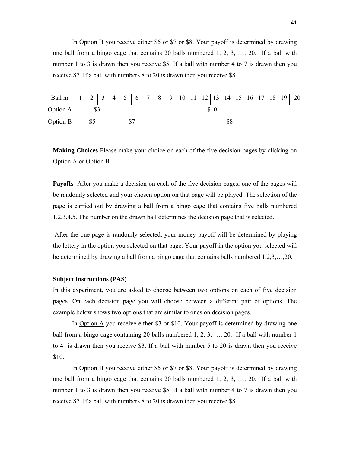In Option B you receive either \$5 or \$7 or \$8. Your payoff is determined by drawing one ball from a bingo cage that contains 20 balls numbered 1, 2, 3, …, 20. If a ball with number 1 to 3 is drawn then you receive \$5. If a ball with number 4 to 7 is drawn then you receive \$7. If a ball with numbers 8 to 20 is drawn then you receive \$8.

| Ball nr  |     |  |  | $4 \mid 5$ | 6 <sup>1</sup> |  |  |  |  |  |  |  |     |  |  |  | $7   8   9   10   11   12   13   14   15   16   17   18   19   20$ |
|----------|-----|--|--|------------|----------------|--|--|--|--|--|--|--|-----|--|--|--|--------------------------------------------------------------------|
| Option A |     |  |  | \$10       |                |  |  |  |  |  |  |  |     |  |  |  |                                                                    |
| Option B | \$5 |  |  |            |                |  |  |  |  |  |  |  | \$8 |  |  |  |                                                                    |

**Making Choices** Please make your choice on each of the five decision pages by clicking on Option A or Option B

**Payoffs** After you make a decision on each of the five decision pages, one of the pages will be randomly selected and your chosen option on that page will be played. The selection of the page is carried out by drawing a ball from a bingo cage that contains five balls numbered 1,2,3,4,5. The number on the drawn ball determines the decision page that is selected.

 After the one page is randomly selected, your money payoff will be determined by playing the lottery in the option you selected on that page. Your payoff in the option you selected will be determined by drawing a ball from a bingo cage that contains balls numbered 1,2,3,…,20.

#### **Subject Instructions (PAS)**

In this experiment, you are asked to choose between two options on each of five decision pages. On each decision page you will choose between a different pair of options. The example below shows two options that are similar to ones on decision pages.

In Option A you receive either \$3 or \$10. Your payoff is determined by drawing one ball from a bingo cage containing 20 balls numbered 1, 2, 3, …, 20. If a ball with number 1 to 4 is drawn then you receive \$3. If a ball with number 5 to 20 is drawn then you receive \$10.

In Option B you receive either \$5 or \$7 or \$8. Your payoff is determined by drawing one ball from a bingo cage that contains 20 balls numbered 1, 2, 3, …, 20. If a ball with number 1 to 3 is drawn then you receive \$5. If a ball with number 4 to 7 is drawn then you receive \$7. If a ball with numbers 8 to 20 is drawn then you receive \$8.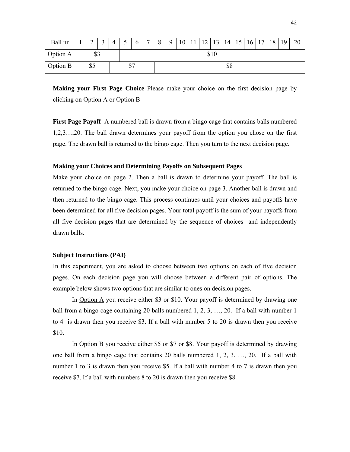| Ball nr         | $\sim$<br>∠ | $\bigcap$ | $\overline{4}$ | $\zeta$ | 6  | $\sqrt{ }$ | 8 | 9 |  |  | 10 11 12 13 14 15 16 17 18 |  |     |  |  | 19 | 20 |
|-----------------|-------------|-----------|----------------|---------|----|------------|---|---|--|--|----------------------------|--|-----|--|--|----|----|
| Option A        | ሰሳ<br>ر ر   |           |                | \$10    |    |            |   |   |  |  |                            |  |     |  |  |    |    |
| <b>Option B</b> | \$5         |           |                | Φ       | ሰማ |            |   |   |  |  |                            |  | \$8 |  |  |    |    |

**Making your First Page Choice** Please make your choice on the first decision page by clicking on Option A or Option B

**First Page Payoff** A numbered ball is drawn from a bingo cage that contains balls numbered 1,2,3…,20. The ball drawn determines your payoff from the option you chose on the first page. The drawn ball is returned to the bingo cage. Then you turn to the next decision page.

#### **Making your Choices and Determining Payoffs on Subsequent Pages**

Make your choice on page 2. Then a ball is drawn to determine your payoff. The ball is returned to the bingo cage. Next, you make your choice on page 3. Another ball is drawn and then returned to the bingo cage. This process continues until your choices and payoffs have been determined for all five decision pages. Your total payoff is the sum of your payoffs from all five decision pages that are determined by the sequence of choices and independently drawn balls.

#### **Subject Instructions (PAI)**

In this experiment, you are asked to choose between two options on each of five decision pages. On each decision page you will choose between a different pair of options. The example below shows two options that are similar to ones on decision pages.

In Option A you receive either \$3 or \$10. Your payoff is determined by drawing one ball from a bingo cage containing 20 balls numbered 1, 2, 3, …, 20. If a ball with number 1 to 4 is drawn then you receive \$3. If a ball with number 5 to 20 is drawn then you receive \$10.

In Option B you receive either \$5 or \$7 or \$8. Your payoff is determined by drawing one ball from a bingo cage that contains 20 balls numbered 1, 2, 3, …, 20. If a ball with number 1 to 3 is drawn then you receive \$5. If a ball with number 4 to 7 is drawn then you receive \$7. If a ball with numbers 8 to 20 is drawn then you receive \$8.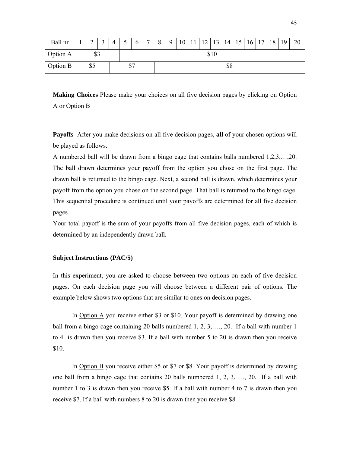| Ball nr         | ÷. | $\sim$<br>∸ | $\sim$ | $\overline{4}$ | ◡    | 6  | $\sqrt{ }$ | 8 | $\mathbf Q$ | 10 <sup>1</sup> | <sup>11</sup> | $12$   13   14   15   16   17   18 |  |     |  |  | 19 | 20 |
|-----------------|----|-------------|--------|----------------|------|----|------------|---|-------------|-----------------|---------------|------------------------------------|--|-----|--|--|----|----|
| Option A        |    | ሰባ<br>ر ب   |        |                | \$10 |    |            |   |             |                 |               |                                    |  |     |  |  |    |    |
| <b>Option B</b> |    | \$5         |        |                | Φ    | ሰጣ |            |   |             |                 |               |                                    |  | \$8 |  |  |    |    |

**Making Choices** Please make your choices on all five decision pages by clicking on Option A or Option B

**Payoffs** After you make decisions on all five decision pages, **all** of your chosen options will be played as follows.

A numbered ball will be drawn from a bingo cage that contains balls numbered 1,2,3,…,20. The ball drawn determines your payoff from the option you chose on the first page. The drawn ball is returned to the bingo cage. Next, a second ball is drawn, which determines your payoff from the option you chose on the second page. That ball is returned to the bingo cage. This sequential procedure is continued until your payoffs are determined for all five decision pages.

Your total payoff is the sum of your payoffs from all five decision pages, each of which is determined by an independently drawn ball.

#### **Subject Instructions (PAC/5)**

In this experiment, you are asked to choose between two options on each of five decision pages. On each decision page you will choose between a different pair of options. The example below shows two options that are similar to ones on decision pages.

In Option  $\triangle$  you receive either \$3 or \$10. Your payoff is determined by drawing one ball from a bingo cage containing 20 balls numbered 1, 2, 3, …, 20. If a ball with number 1 to 4 is drawn then you receive \$3. If a ball with number 5 to 20 is drawn then you receive \$10.

In Option B you receive either \$5 or \$7 or \$8. Your payoff is determined by drawing one ball from a bingo cage that contains 20 balls numbered 1, 2, 3, …, 20. If a ball with number 1 to 3 is drawn then you receive \$5. If a ball with number 4 to 7 is drawn then you receive \$7. If a ball with numbers 8 to 20 is drawn then you receive \$8.